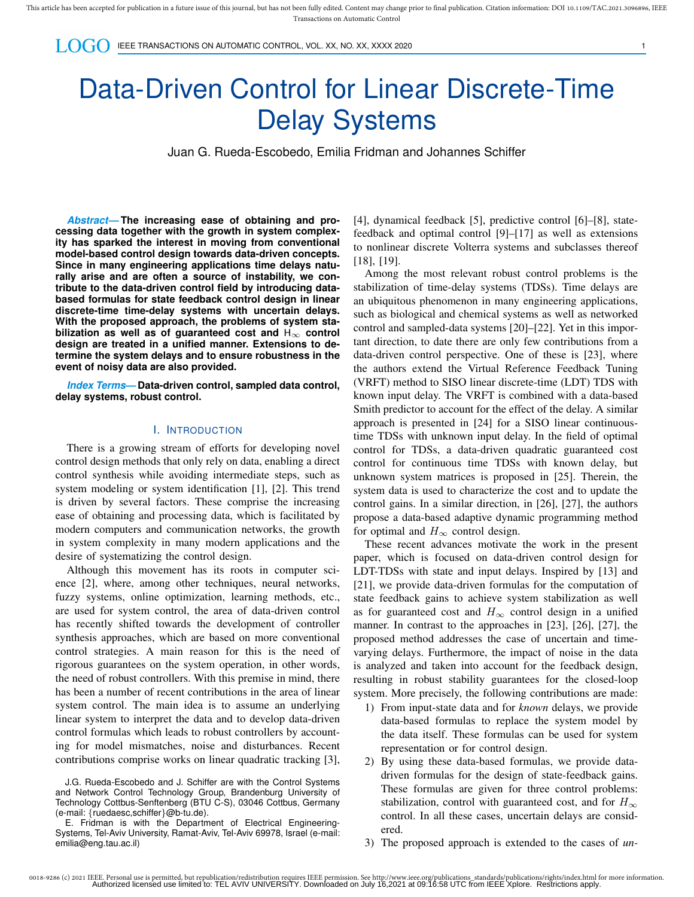$\bigcup_{i}$   $\bigcap_{i}$   $\bigcap_{i}$  ieee transactions on automatic control, vol. XX, no. XX, XXXX 2020

# Data-Driven Control for Linear Discrete-Time Delay Systems

Juan G. Rueda-Escobedo, Emilia Fridman and Johannes Schiffer

*Abstract***— The increasing ease of obtaining and processing data together with the growth in system complexity has sparked the interest in moving from conventional model-based control design towards data-driven concepts. Since in many engineering applications time delays naturally arise and are often a source of instability, we contribute to the data-driven control field by introducing databased formulas for state feedback control design in linear discrete-time time-delay systems with uncertain delays. With the proposed approach, the problems of system stabilization as well as of guaranteed cost and** H∞ **control design are treated in a unified manner. Extensions to determine the system delays and to ensure robustness in the event of noisy data are also provided.**

*Index Terms***— Data-driven control, sampled data control, delay systems, robust control.**

#### I. INTRODUCTION

There is a growing stream of efforts for developing novel control design methods that only rely on data, enabling a direct control synthesis while avoiding intermediate steps, such as system modeling or system identification [1], [2]. This trend is driven by several factors. These comprise the increasing ease of obtaining and processing data, which is facilitated by modern computers and communication networks, the growth in system complexity in many modern applications and the desire of systematizing the control design.

Although this movement has its roots in computer science [2], where, among other techniques, neural networks, fuzzy systems, online optimization, learning methods, etc., are used for system control, the area of data-driven control has recently shifted towards the development of controller synthesis approaches, which are based on more conventional control strategies. A main reason for this is the need of rigorous guarantees on the system operation, in other words, the need of robust controllers. With this premise in mind, there has been a number of recent contributions in the area of linear system control. The main idea is to assume an underlying linear system to interpret the data and to develop data-driven control formulas which leads to robust controllers by accounting for model mismatches, noise and disturbances. Recent contributions comprise works on linear quadratic tracking [3],

[4], dynamical feedback [5], predictive control [6]–[8], statefeedback and optimal control [9]–[17] as well as extensions to nonlinear discrete Volterra systems and subclasses thereof [18], [19].

Among the most relevant robust control problems is the stabilization of time-delay systems (TDSs). Time delays are an ubiquitous phenomenon in many engineering applications, such as biological and chemical systems as well as networked control and sampled-data systems [20]–[22]. Yet in this important direction, to date there are only few contributions from a data-driven control perspective. One of these is [23], where the authors extend the Virtual Reference Feedback Tuning (VRFT) method to SISO linear discrete-time (LDT) TDS with known input delay. The VRFT is combined with a data-based Smith predictor to account for the effect of the delay. A similar approach is presented in [24] for a SISO linear continuoustime TDSs with unknown input delay. In the field of optimal control for TDSs, a data-driven quadratic guaranteed cost control for continuous time TDSs with known delay, but unknown system matrices is proposed in [25]. Therein, the system data is used to characterize the cost and to update the control gains. In a similar direction, in [26], [27], the authors propose a data-based adaptive dynamic programming method for optimal and  $H_{\infty}$  control design.

These recent advances motivate the work in the present paper, which is focused on data-driven control design for LDT-TDSs with state and input delays. Inspired by [13] and [21], we provide data-driven formulas for the computation of state feedback gains to achieve system stabilization as well as for guaranteed cost and  $H_{\infty}$  control design in a unified manner. In contrast to the approaches in [23], [26], [27], the proposed method addresses the case of uncertain and timevarying delays. Furthermore, the impact of noise in the data is analyzed and taken into account for the feedback design, resulting in robust stability guarantees for the closed-loop system. More precisely, the following contributions are made:

- 1) From input-state data and for *known* delays, we provide data-based formulas to replace the system model by the data itself. These formulas can be used for system representation or for control design.
- 2) By using these data-based formulas, we provide datadriven formulas for the design of state-feedback gains. These formulas are given for three control problems: stabilization, control with guaranteed cost, and for  $H_{\infty}$ control. In all these cases, uncertain delays are considered.
- 3) The proposed approach is extended to the cases of *un-*

J.G. Rueda-Escobedo and J. Schiffer are with the Control Systems and Network Control Technology Group, Brandenburg University of Technology Cottbus-Senftenberg (BTU C-S), 03046 Cottbus, Germany (e-mail: {ruedaesc,schiffer}@b-tu.de).

E. Fridman is with the Department of Electrical Engineering-Systems, Tel-Aviv University, Ramat-Aviv, Tel-Aviv 69978, Israel (e-mail: emilia@eng.tau.ac.il)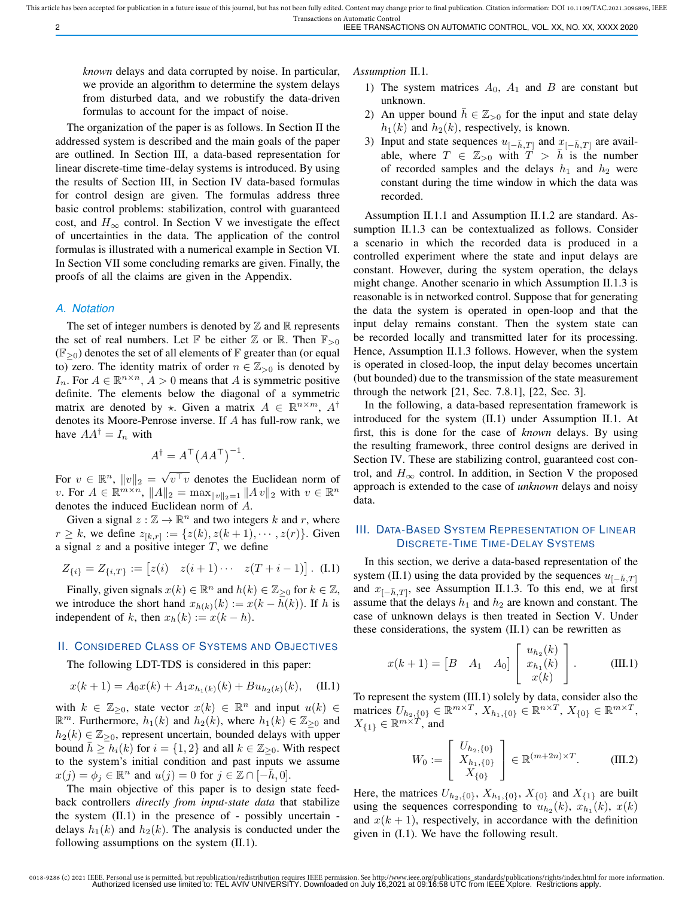*known* delays and data corrupted by noise. In particular, we provide an algorithm to determine the system delays from disturbed data, and we robustify the data-driven formulas to account for the impact of noise.

The organization of the paper is as follows. In Section II the addressed system is described and the main goals of the paper are outlined. In Section III, a data-based representation for linear discrete-time time-delay systems is introduced. By using the results of Section III, in Section IV data-based formulas for control design are given. The formulas address three basic control problems: stabilization, control with guaranteed cost, and  $H_{\infty}$  control. In Section V we investigate the effect of uncertainties in the data. The application of the control formulas is illustrated with a numerical example in Section VI. In Section VII some concluding remarks are given. Finally, the proofs of all the claims are given in the Appendix.

#### *A. Notation*

The set of integer numbers is denoted by  $\mathbb Z$  and  $\mathbb R$  represents the set of real numbers. Let  $\mathbb F$  be either  $\mathbb Z$  or  $\mathbb R$ . Then  $\mathbb F_{>0}$  $(\mathbb{F}_{\geq 0})$  denotes the set of all elements of  $\mathbb F$  greater than (or equal to) zero. The identity matrix of order  $n \in \mathbb{Z}_{>0}$  is denoted by  $I_n$ . For  $A \in \mathbb{R}^{n \times n}$ ,  $A > 0$  means that A is symmetric positive definite. The elements below the diagonal of a symmetric matrix are denoted by  $\star$ . Given a matrix  $A \in \mathbb{R}^{n \times m}$ ,  $A^{\dagger}$ denotes its Moore-Penrose inverse. If A has full-row rank, we have  $AA^{\dagger} = I_n$  with

$$
A^{\dagger} = A^{\top} (A A^{\top})^{-1}.
$$

For  $v \in \mathbb{R}^n$ ,  $||v||_2 = \sqrt{\frac{2}{v}}$  $v^{\top}v$  denotes the Euclidean norm of v. For  $A \in \mathbb{R}^{m \times n}$ ,  $||A||_2 = \max_{||v||_2 = 1} ||Av||_2$  with  $v \in \mathbb{R}^n$ denotes the induced Euclidean norm of A.

Given a signal  $z : \mathbb{Z} \to \mathbb{R}^n$  and two integers k and r, where  $r \geq k$ , we define  $z_{[k,r]} := \{z(k), z(k+1), \dots, z(r)\}.$  Given a signal  $z$  and a positive integer  $T$ , we define

$$
Z_{\{i\}} = Z_{\{i,T\}} := [z(i) \quad z(i+1)\cdots \quad z(T+i-1)]. \quad (I.1)
$$

Finally, given signals  $x(k) \in \mathbb{R}^n$  and  $h(k) \in \mathbb{Z}_{\geq 0}$  for  $k \in \mathbb{Z}$ , we introduce the short hand  $x_{h(k)}(k) := x(k - h(k))$ . If h is independent of k, then  $x_h(k) := x(k - h)$ .

## II. CONSIDERED CLASS OF SYSTEMS AND OBJECTIVES

The following LDT-TDS is considered in this paper:

$$
x(k+1) = A_0 x(k) + A_1 x_{h_1(k)}(k) + B u_{h_2(k)}(k), \quad \text{(II.1)}
$$

with  $k \in \mathbb{Z}_{\geq 0}$ , state vector  $x(k) \in \mathbb{R}^n$  and input  $u(k) \in$  $\mathbb{R}^m$ . Furthermore,  $h_1(k)$  and  $h_2(k)$ , where  $h_1(k) \in \mathbb{Z}_{\geq 0}$  and  $h_2(k) \in \mathbb{Z}_{\geq 0}$ , represent uncertain, bounded delays with upper bound  $\bar{h} \geq h_i(k)$  for  $i = \{1, 2\}$  and all  $k \in \mathbb{Z}_{\geq 0}$ . With respect to the system's initial condition and past inputs we assume  $x(j) = \phi_j \in \mathbb{R}^n$  and  $u(j) = 0$  for  $j \in \mathbb{Z} \cap [-\overline{h}, 0].$ 

The main objective of this paper is to design state feedback controllers *directly from input-state data* that stabilize the system (II.1) in the presence of - possibly uncertain delays  $h_1(k)$  and  $h_2(k)$ . The analysis is conducted under the following assumptions on the system (II.1).

*Assumption* II.1*.*

- 1) The system matrices  $A_0$ ,  $A_1$  and  $B$  are constant but unknown.
- 2) An upper bound  $\bar{h} \in \mathbb{Z}_{>0}$  for the input and state delay  $h_1(k)$  and  $h_2(k)$ , respectively, is known.
- 3) Input and state sequences  $u_{[-\bar{h},T]}$  and  $x_{[-\bar{h},T]}$  are available, where  $T \in \mathbb{Z}_{>0}$  with  $T > \bar{h}$  is the number of recorded samples and the delays  $h_1$  and  $h_2$  were constant during the time window in which the data was recorded.

Assumption II.1.1 and Assumption II.1.2 are standard. Assumption II.1.3 can be contextualized as follows. Consider a scenario in which the recorded data is produced in a controlled experiment where the state and input delays are constant. However, during the system operation, the delays might change. Another scenario in which Assumption II.1.3 is reasonable is in networked control. Suppose that for generating the data the system is operated in open-loop and that the input delay remains constant. Then the system state can be recorded locally and transmitted later for its processing. Hence, Assumption II.1.3 follows. However, when the system is operated in closed-loop, the input delay becomes uncertain (but bounded) due to the transmission of the state measurement through the network [21, Sec. 7.8.1], [22, Sec. 3].

In the following, a data-based representation framework is introduced for the system (II.1) under Assumption II.1. At first, this is done for the case of *known* delays. By using the resulting framework, three control designs are derived in Section IV. These are stabilizing control, guaranteed cost control, and  $H_{\infty}$  control. In addition, in Section V the proposed approach is extended to the case of *unknown* delays and noisy data.

# III. DATA-BASED SYSTEM REPRESENTATION OF LINEAR DISCRETE-TIME TIME-DELAY SYSTEMS

In this section, we derive a data-based representation of the system (II.1) using the data provided by the sequences  $u_{[-\bar{h},T]}$ and  $x_{[-\bar{h},T]},$  see Assumption II.1.3. To this end, we at first assume that the delays  $h_1$  and  $h_2$  are known and constant. The case of unknown delays is then treated in Section V. Under these considerations, the system (II.1) can be rewritten as

$$
x(k+1) = \begin{bmatrix} B & A_1 & A_0 \end{bmatrix} \begin{bmatrix} u_{h_2}(k) \\ x_{h_1}(k) \\ x(k) \end{bmatrix}.
$$
 (III.1)

To represent the system (III.1) solely by data, consider also the matrices  $U_{h_2, \{0\}} \in \mathbb{R}^{m \times T}$ ,  $X_{h_1, \{0\}} \in \mathbb{R}^{n \times T}$ ,  $X_{\{0\}} \in \mathbb{R}^{m \times T}$ ,  $X_{\{1\}} \in \mathbb{R}^{m \times T}$ , and

$$
W_0 := \left[ \begin{array}{c} U_{h_2, \{0\}} \\ X_{h_1, \{0\}} \\ X_{\{0\}} \end{array} \right] \in \mathbb{R}^{(m+2n) \times T}.
$$
 (III.2)

Here, the matrices  $U_{h_2,\{0\}}$ ,  $X_{h_1,\{0\}}$ ,  $X_{\{0\}}$  and  $X_{\{1\}}$  are built using the sequences corresponding to  $u_{h_2}(k)$ ,  $x_{h_1}(k)$ ,  $x(k)$ and  $x(k + 1)$ , respectively, in accordance with the definition given in (I.1). We have the following result.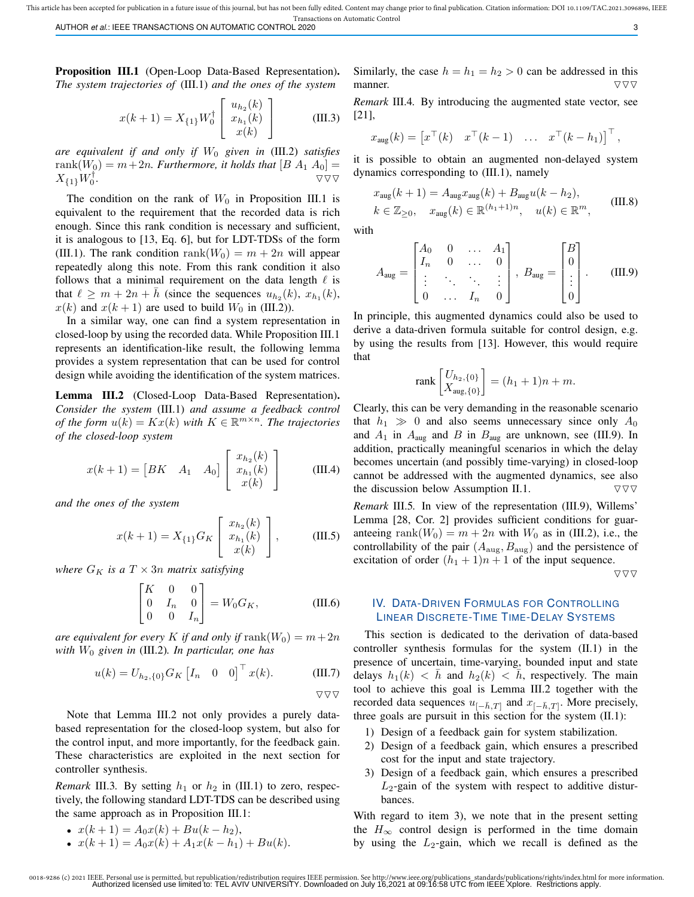This article has been accepted for publication in a future issue of this journal, but has not been fully edited. Content may change prior to final publication. Citation information: DOI 10.1109/TAC.2021.3096896, IEEE Transactions on Automatic Control

AUTHOR *et al.*: IEEE TRANSACTIONS ON AUTOMATIC CONTROL 2020 3

Proposition III.1 (Open-Loop Data-Based Representation). *The system trajectories of* (III.1) *and the ones of the system*

$$
x(k+1) = X_{\{1\}} W_0^{\dagger} \begin{bmatrix} u_{h_2}(k) \\ x_{h_1}(k) \\ x(k) \end{bmatrix}
$$
 (III.3)

*are equivalent if and only if*  $W_0$  *given in* (III.2) *satisfies* rank $(W_0) = m + 2n$ . Furthermore, it holds that  $[B A_1 A_0] =$  $X_{\{1\}}W_0^\dagger$ **.**  $\overline{\nabla \nabla \nabla}$ 

The condition on the rank of  $W_0$  in Proposition III.1 is equivalent to the requirement that the recorded data is rich enough. Since this rank condition is necessary and sufficient, it is analogous to [13, Eq. 6], but for LDT-TDSs of the form (III.1). The rank condition rank( $W_0$ ) =  $m + 2n$  will appear repeatedly along this note. From this rank condition it also follows that a minimal requirement on the data length  $\ell$  is that  $\ell \geq m + 2n + \bar{h}$  (since the sequences  $u_{h_2}(k)$ ,  $x_{h_1}(k)$ ,  $x(k)$  and  $x(k + 1)$  are used to build  $W_0$  in (III.2)).

In a similar way, one can find a system representation in closed-loop by using the recorded data. While Proposition III.1 represents an identification-like result, the following lemma provides a system representation that can be used for control design while avoiding the identification of the system matrices.

Lemma III.2 (Closed-Loop Data-Based Representation). *Consider the system* (III.1) *and assume a feedback control of the form*  $u(k) = Kx(k)$  *with*  $K \in \mathbb{R}^{m \times n}$ . The trajectories *of the closed-loop system*

$$
x(k+1) = \begin{bmatrix} BK & A_1 & A_0 \end{bmatrix} \begin{bmatrix} x_{h_2}(k) \\ x_{h_1}(k) \\ x(k) \end{bmatrix}
$$
 (III.4)

*and the ones of the system*

$$
x(k+1) = X_{\{1\}} G_K \begin{bmatrix} x_{h_2}(k) \\ x_{h_1}(k) \\ x(k) \end{bmatrix},
$$
 (III.5)

*where*  $G_K$  *is a*  $T \times 3n$  *matrix satisfying* 

$$
\begin{bmatrix} K & 0 & 0 \\ 0 & I_n & 0 \\ 0 & 0 & I_n \end{bmatrix} = W_0 G_K, \tag{III.6}
$$

*are equivalent for every* K *if and only if*  $\text{rank}(W_0) = m + 2n$ *with* W<sup>0</sup> *given in* (III.2)*. In particular, one has*

$$
u(k) = U_{h_2,\{0\}} G_K \begin{bmatrix} I_n & 0 & 0 \end{bmatrix}^\top x(k). \quad (\text{III.7})
$$

Note that Lemma III.2 not only provides a purely databased representation for the closed-loop system, but also for the control input, and more importantly, for the feedback gain. These characteristics are exploited in the next section for controller synthesis.

*Remark* III.3. By setting  $h_1$  or  $h_2$  in (III.1) to zero, respectively, the following standard LDT-TDS can be described using the same approach as in Proposition III.1:

• 
$$
x(k+1) = A_0x(k) + Bu(k - h_2),
$$

• 
$$
x(k+1) = A_0x(k) + A_1x(k-h_1) + Bu(k)
$$
.

Similarly, the case  $h = h_1 = h_2 > 0$  can be addressed in this manner.  $\nabla \nabla \nabla$ 

*Remark* III.4*.* By introducing the augmented state vector, see [21],

$$
x_{\text{aug}}(k) = \begin{bmatrix} x^{\top}(k) & x^{\top}(k-1) & \dots & x^{\top}(k-h_1) \end{bmatrix}^{\top},
$$

it is possible to obtain an augmented non-delayed system dynamics corresponding to (III.1), namely

$$
x_{\text{aug}}(k+1) = A_{\text{aug}} x_{\text{aug}}(k) + B_{\text{aug}} u(k - h_2),
$$
  

$$
k \in \mathbb{Z}_{\geq 0}, \quad x_{\text{aug}}(k) \in \mathbb{R}^{(h_1 + 1)n}, \quad u(k) \in \mathbb{R}^m,
$$
 (III.8)

with

$$
A_{\text{aug}} = \begin{bmatrix} A_0 & 0 & \dots & A_1 \\ I_n & 0 & \dots & 0 \\ \vdots & \ddots & \ddots & \vdots \\ 0 & \dots & I_n & 0 \end{bmatrix}, B_{\text{aug}} = \begin{bmatrix} B \\ 0 \\ \vdots \\ 0 \end{bmatrix}.
$$
 (III.9)

In principle, this augmented dynamics could also be used to derive a data-driven formula suitable for control design, e.g. by using the results from [13]. However, this would require that

$$
\text{rank}\begin{bmatrix} U_{h_2, \{0\}} \\ X_{\text{aug}, \{0\}} \end{bmatrix} = (h_1 + 1)n + m.
$$

Clearly, this can be very demanding in the reasonable scenario that  $h_1 \gg 0$  and also seems unnecessary since only  $A_0$ and  $A_1$  in  $A_{\text{aug}}$  and  $B$  in  $B_{\text{aug}}$  are unknown, see (III.9). In addition, practically meaningful scenarios in which the delay becomes uncertain (and possibly time-varying) in closed-loop cannot be addressed with the augmented dynamics, see also the discussion below Assumption II.1.  $\nabla \nabla \nabla$ *Remark* III.5*.* In view of the representation (III.9), Willems'

Lemma [28, Cor. 2] provides sufficient conditions for guaranteeing rank $(W_0) = m + 2n$  with  $W_0$  as in (III.2), i.e., the controllability of the pair  $(A_{\text{aug}}, B_{\text{aug}})$  and the persistence of excitation of order  $(h_1 + 1)n + 1$  of the input sequence.  $\nabla \nabla \nabla$ 

# IV. DATA-DRIVEN FORMULAS FOR CONTROLLING LINEAR DISCRETE-TIME TIME-DELAY SYSTEMS

This section is dedicated to the derivation of data-based controller synthesis formulas for the system (II.1) in the presence of uncertain, time-varying, bounded input and state delays  $h_1(k) < h$  and  $h_2(k) < h$ , respectively. The main tool to achieve this goal is Lemma III.2 together with the recorded data sequences  $u_{[-\bar{h},T]}$  and  $x_{[-\bar{h},T]}$ . More precisely, three goals are pursuit in this section for the system (II.1):

- 1) Design of a feedback gain for system stabilization.
- 2) Design of a feedback gain, which ensures a prescribed cost for the input and state trajectory.
- 3) Design of a feedback gain, which ensures a prescribed  $L_2$ -gain of the system with respect to additive disturbances.

With regard to item 3), we note that in the present setting the  $H_{\infty}$  control design is performed in the time domain by using the  $L_2$ -gain, which we recall is defined as the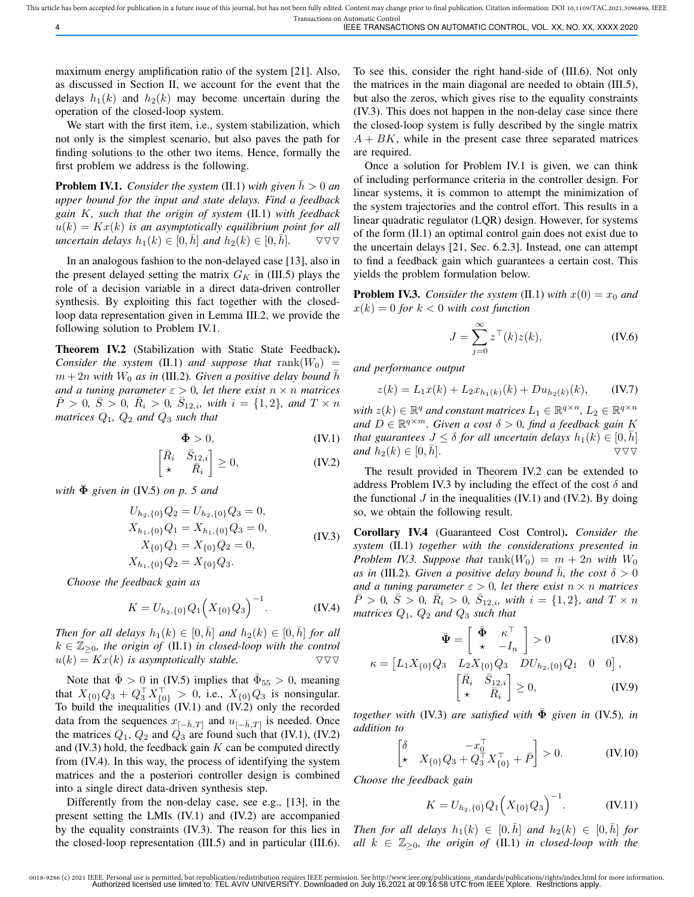maximum energy amplification ratio of the system [21]. Also, as discussed in Section II, we account for the event that the delays  $h_1(k)$  and  $h_2(k)$  may become uncertain during the operation of the closed-loop system.

We start with the first item, i.e., system stabilization, which not only is the simplest scenario, but also paves the path for finding solutions to the other two items. Hence, formally the first problem we address is the following.

**Problem IV.1.** *Consider the system* (II.1) *with given*  $\bar{h} > 0$  *an upper bound for the input and state delays. Find a feedback gain* K*, such that the origin of system* (II.1) *with feedback*  $u(k) = Kx(k)$  *is an asymptotically equilibrium point for all uncertain delays*  $h_1(k) \in [0, h]$  *and*  $h_2(k) \in [0, h]$ .  $\quad \nabla \nabla \nabla$ 

In an analogous fashion to the non-delayed case [13], also in the present delayed setting the matrix  $G_K$  in (III.5) plays the role of a decision variable in a direct data-driven controller synthesis. By exploiting this fact together with the closedloop data representation given in Lemma III.2, we provide the following solution to Problem IV.1.

Theorem IV.2 (Stabilization with Static State Feedback). *Consider the system* (II.1) *and suppose that*  $rank(W_0)$  =  $m + 2n$  with  $W_0$  as in (III.2). Given a positive delay bound  $\bar{h}$ *and a tuning parameter*  $\varepsilon > 0$ , *let there exist*  $n \times n$  *matrices*  $\overline{P} > 0$ ,  $\overline{S} > 0$ ,  $\overline{R}_i > 0$ ,  $\overline{S}_{12,i}$ *, with*  $i = \{1,2\}$ *, and*  $T \times n$ *matrices* Q1*,* Q<sup>2</sup> *and* Q<sup>3</sup> *such that*

$$
\bar{\Phi} > 0, \tag{IV.1}
$$

$$
\begin{bmatrix} \bar{R}_i & \bar{S}_{12,i} \\ \star & \bar{R}_i \end{bmatrix} \ge 0,\tag{IV.2}
$$

*with*  $\bar{\Phi}$  *given in* (IV.5) *on p.* 5 *and* 

$$
U_{h_2,\{0\}}Q_2 = U_{h_2,\{0\}}Q_3 = 0,
$$
  
\n
$$
X_{h_1,\{0\}}Q_1 = X_{h_1,\{0\}}Q_3 = 0,
$$
  
\n
$$
X_{\{0\}}Q_1 = X_{\{0\}}Q_2 = 0,
$$
  
\n
$$
X_{h_1,\{0\}}Q_2 = X_{\{0\}}Q_3.
$$
\n(IV.3)

*Choose the feedback gain as*

$$
K = U_{h_2, \{0\}} Q_1 \Big( X_{\{0\}} Q_3 \Big)^{-1}.
$$
 (IV.4)

*Then for all delays*  $h_1(k) \in [0, h]$  *and*  $h_2(k) \in [0, h]$  *for all*  $k \in \mathbb{Z}_{\geq 0}$ , the origin of (II.1) in closed-loop with the control  $u(k) = Kx(k)$  *is asymptotically stable.* 

Note that  $\bar{\Phi} > 0$  in (IV.5) implies that  $\bar{\Phi}_{55} > 0$ , meaning that  $X_{\{0\}}Q_3 + Q_3^{\top}X_{\{0\}}^{\top} > 0$ , i.e.,  $X_{\{0\}}Q_3$  is nonsingular. To build the inequalities (IV.1) and (IV.2) only the recorded data from the sequences  $x_{[-\bar{h},T]}$  and  $u_{[-\bar{h},T]}$  is needed. Once the matrices  $Q_1$ ,  $Q_2$  and  $\dot{Q_3}$  are found such that (IV.1), (IV.2) and  $(IV.3)$  hold, the feedback gain  $K$  can be computed directly from (IV.4). In this way, the process of identifying the system matrices and the a posteriori controller design is combined into a single direct data-driven synthesis step.

Differently from the non-delay case, see e.g., [13], in the present setting the LMIs (IV.1) and (IV.2) are accompanied by the equality constraints (IV.3). The reason for this lies in the closed-loop representation (III.5) and in particular (III.6). To see this, consider the right hand-side of (III.6). Not only the matrices in the main diagonal are needed to obtain (III.5), but also the zeros, which gives rise to the equality constraints (IV.3). This does not happen in the non-delay case since there the closed-loop system is fully described by the single matrix  $A + BK$ , while in the present case three separated matrices are required.

Once a solution for Problem IV.1 is given, we can think of including performance criteria in the controller design. For linear systems, it is common to attempt the minimization of the system trajectories and the control effort. This results in a linear quadratic regulator (LQR) design. However, for systems of the form (II.1) an optimal control gain does not exist due to the uncertain delays [21, Sec. 6.2.3]. Instead, one can attempt to find a feedback gain which guarantees a certain cost. This yields the problem formulation below.

**Problem IV.3.** *Consider the system* (II.1) *with*  $x(0) = x_0$  *and*  $x(k) = 0$  for  $k < 0$  with cost function

$$
J = \sum_{j=0}^{\infty} z^{\top}(k)z(k),
$$
 (IV.6)

*and performance output*

$$
z(k) = L_1 x(k) + L_2 x_{h_1(k)}(k) + D u_{h_2(k)}(k), \quad \text{(IV.7)}
$$

with  $z(k) \in \mathbb{R}^q$  and constant matrices  $L_1 \in \mathbb{R}^{q \times n}$ ,  $L_2 \in \mathbb{R}^{q \times n}$ and  $D \in \mathbb{R}^{q \times m}$ . Given a cost  $\delta > 0$ , find a feedback gain K *that guarantees*  $J \leq \delta$  *for all uncertain delays*  $h_1(k) \in [0, \bar{h}]$ *and*  $h_2(k) \in [0, h]$ .  $\qquad \qquad \nabla \nabla$ 

The result provided in Theorem IV.2 can be extended to address Problem IV.3 by including the effect of the cost  $\delta$  and the functional  $J$  in the inequalities (IV.1) and (IV.2). By doing so, we obtain the following result.

Corollary IV.4 (Guaranteed Cost Control). *Consider the system* (II.1) *together with the considerations presented in Problem IV.3. Suppose that* rank $(W_0) = m + 2n$  *with*  $W_0$ *as in* (III.2)*. Given a positive delay bound h, the cost*  $\delta > 0$ *and a tuning parameter*  $\varepsilon > 0$ *, let there exist*  $n \times n$  *matrices*  $\overline{P} > 0$ ,  $\overline{S} > 0$ ,  $\overline{R}_i > 0$ ,  $\overline{S}_{12,i}$ *, with*  $i = \{1,2\}$ *, and*  $T \times n$ *matrices*  $Q_1$ ,  $Q_2$  *and*  $Q_3$  *such that* 

$$
\bar{\Psi} = \begin{bmatrix} \bar{\Phi} & \kappa^{\top} \\ \star & -I_n \end{bmatrix} > 0
$$
 (IV.8)

$$
\kappa = \begin{bmatrix} L_1 X_{\{0\}} Q_3 & L_2 X_{\{0\}} Q_3 & DU_{h_2, \{0\}} Q_1 & 0 & 0 \end{bmatrix},
$$

$$
\begin{bmatrix} \bar{R}_i & \bar{S}_{12,i} \\ \star & \bar{R}_i \end{bmatrix} \geq 0,
$$
(IV.9)

*together with* (IV.3) *are satisfied with*  $\Phi$  *given in* (IV.5)*, in addition to*

$$
\begin{bmatrix} \delta & -x_0^{\top} \\ \star & X_{\{0\}} Q_3 + Q_3^{\top} X_{\{0\}}^{\top} + \bar{P} \end{bmatrix} > 0.
$$
 (IV.10)

*Choose the feedback gain*

$$
K = U_{h_2, \{0\}} Q_1 \left( X_{\{0\}} Q_3 \right)^{-1} . \tag{IV.11}
$$

*Then for all delays*  $h_1(k) \in [0, h]$  *and*  $h_2(k) \in [0, h]$  *for all*  $k \in \mathbb{Z}_{\geq 0}$ *, the origin of* (II.1) *in closed-loop with the*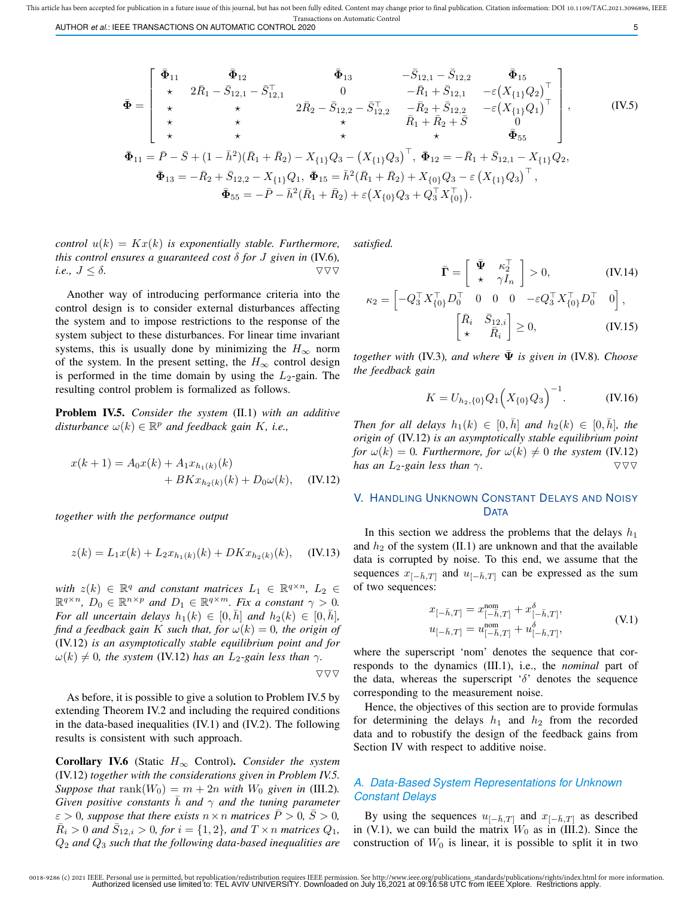AUTHOR *et al.*: IEEE TRANSACTIONS ON AUTOMATIC CONTROL 2020 5

$$
\bar{\Phi} = \begin{bmatrix}\n\bar{\Phi}_{11} & \bar{\Phi}_{12} & \bar{\Phi}_{13} & -\bar{S}_{12,1} - \bar{S}_{12,2} & \bar{\Phi}_{15} \\
\star & 2\bar{R}_{1} - \bar{S}_{12,1} - \bar{S}_{12,1} & 0 & -\bar{R}_{1} + \bar{S}_{12,1} & -\varepsilon (X_{\{1\}}Q_{2})^{\top} \\
\star & \star & 2\bar{R}_{2} - \bar{S}_{12,2} - \bar{S}_{12,2}^{\top} & -\bar{R}_{2} + \bar{S}_{12,2} & -\varepsilon (X_{\{1\}}Q_{1})^{\top} \\
\star & \star & \star & \bar{R}_{1} + \bar{R}_{2} + \bar{S} & 0 \\
\star & \star & \star & \star & \bar{\Phi}_{55} \\
\bar{\Phi}_{11} = \bar{P} - \bar{S} + (1 - \bar{h}^{2})(\bar{R}_{1} + \bar{R}_{2}) - X_{\{1\}}Q_{3} - (X_{\{1\}}Q_{3})^{\top}, \ \bar{\Phi}_{12} = -\bar{R}_{1} + \bar{S}_{12,1} - X_{\{1\}}Q_{2}, \\
\bar{\Phi}_{13} = -\bar{R}_{2} + \bar{S}_{12,2} - X_{\{1\}}Q_{1}, \ \bar{\Phi}_{15} = \bar{h}^{2}(\bar{R}_{1} + \bar{R}_{2}) + X_{\{0\}}Q_{3} - \varepsilon (X_{\{1\}}Q_{3})^{\top}, \\
\bar{\Phi}_{55} = -\bar{P} - \bar{h}^{2}(\bar{R}_{1} + \bar{R}_{2}) + \varepsilon (X_{\{0\}}Q_{3} + Q_{3}^{\top}X_{\{0\}}^{\top}).\n\end{bmatrix}.
$$
\n(IV.5)

*control*  $u(k) = Kx(k)$  *is exponentially stable. Furthermore, this control ensures a guaranteed cost*  $\delta$  *for*  $J$  *given in* (IV.6)*, i.e.,*  $J \leq \delta$ .

Another way of introducing performance criteria into the control design is to consider external disturbances affecting the system and to impose restrictions to the response of the system subject to these disturbances. For linear time invariant systems, this is usually done by minimizing the  $H_{\infty}$  norm of the system. In the present setting, the  $H_{\infty}$  control design is performed in the time domain by using the  $L_2$ -gain. The resulting control problem is formalized as follows.

Problem IV.5. *Consider the system* (II.1) *with an additive*  $distance \omega(k) \in \mathbb{R}^p$  *and feedback gain K, i.e.,* 

$$
x(k+1) = A_0 x(k) + A_1 x_{h_1(k)}(k)
$$
  
+ 
$$
B K x_{h_2(k)}(k) + D_0 \omega(k), \quad (IV.12)
$$

*together with the performance output*

$$
z(k) = L_1 x(k) + L_2 x_{h_1(k)}(k) + D K x_{h_2(k)}(k), \quad (IV.13)
$$

*with*  $z(k) \in \mathbb{R}^q$  *and constant matrices*  $L_1 \in \mathbb{R}^{q \times n}$ ,  $L_2 \in$  $\mathbb{R}^{q \times n}$ ,  $D_0 \in \mathbb{R}^{n \times p}$  and  $D_1 \in \mathbb{R}^{q \times m}$ . Fix a constant  $\gamma > 0$ . *For all uncertain delays*  $h_1(k) \in [0, \bar{h}]$  *and*  $h_2(k) \in [0, \bar{h}]$ *, find a feedback gain* K *such that, for*  $\omega(k) = 0$ *, the origin of* (IV.12) *is an asymptotically stable equilibrium point and for*  $\omega(k) \neq 0$ , the system (IV.12) has an L<sub>2</sub>-gain less than  $\gamma$ .  $\triangledown$ 

As before, it is possible to give a solution to Problem IV.5 by extending Theorem IV.2 and including the required conditions in the data-based inequalities (IV.1) and (IV.2). The following results is consistent with such approach.

Corollary IV.6 (Static H<sup>∞</sup> Control). *Consider the system* (IV.12) *together with the considerations given in Problem IV.5. Suppose that* rank $(W_0) = m + 2n$  *with*  $W_0$  *given in* (III.2). *Given positive constants*  $\bar{h}$  *and*  $\gamma$  *and the tuning parameter*  $\varepsilon > 0$ *, suppose that there exists*  $n \times n$  *matrices*  $\overline{P} > 0$ *,*  $\overline{S} > 0$ *,*  $\overline{R}_i > 0$  and  $\overline{S}_{12,i} > 0$ , for  $i = \{1, 2\}$ , and  $T \times n$  matrices  $Q_1$ , Q<sup>2</sup> *and* Q<sup>3</sup> *such that the following data-based inequalities are* *satisfied.*

$$
\bar{\mathbf{\Gamma}} = \begin{bmatrix} \bar{\Psi} & \kappa_2^{\top} \\ \star & \gamma I_n \end{bmatrix} > 0, \qquad (\text{IV.14})
$$

$$
= \begin{bmatrix} -Q_3^{\top} X_{\{0\}}^{\top} D_0^{\top} & 0 & 0 & 0 & -\varepsilon Q_3^{\top} X_{\{0\}}^{\top} D_0^{\top} & 0 \end{bmatrix},
$$

$$
\kappa_2 = \begin{bmatrix} -Q_3' X_{\{0\}} D_0' & 0 & 0 & 0 & -\varepsilon Q_3' X_{\{0\}} D_0' & 0 \end{bmatrix},
$$

$$
\begin{bmatrix} \bar{R}_i & \bar{S}_{12,i} \\ \star & \bar{R}_i \end{bmatrix} \ge 0, \qquad (IV.15)
$$

*together with* (IV.3)*, and where*  $\bar{\Psi}$  *is given in* (IV.8)*. Choose the feedback gain*

$$
K = U_{h_2, \{0\}} Q_1 \Big( X_{\{0\}} Q_3 \Big)^{-1}.
$$
 (IV.16)

*Then for all delays*  $h_1(k) \in [0, h]$  *and*  $h_2(k) \in [0, h]$ *, the origin of* (IV.12) *is an asymptotically stable equilibrium point for*  $\omega(k) = 0$ *. Furthermore, for*  $\omega(k) \neq 0$  *the system* (IV.12) *has an*  $L_2$ *-gain less than*  $\gamma$ *.*  $\qquad \qquad \nabla \nabla$ 

## V. HANDLING UNKNOWN CONSTANT DELAYS AND NOISY **DATA**

In this section we address the problems that the delays  $h_1$ and  $h_2$  of the system (II.1) are unknown and that the available data is corrupted by noise. To this end, we assume that the sequences  $x_{[-\bar{h},T]}$  and  $u_{[-\bar{h},T]}$  can be expressed as the sum of two sequences:

$$
x_{[-\bar{h},T]} = x_{[-\bar{h},T]}^{\text{nom}} + x_{[-\bar{h},T]}^{\delta},
$$
  
\n
$$
u_{[-\bar{h},T]} = u_{[-\bar{h},T]}^{\text{nom}} + u_{[-\bar{h},T]}^{\delta},
$$
\n(V.1)

where the superscript 'nom' denotes the sequence that corresponds to the dynamics (III.1), i.e., the *nominal* part of the data, whereas the superscript ' $\delta$ ' denotes the sequence corresponding to the measurement noise.

Hence, the objectives of this section are to provide formulas for determining the delays  $h_1$  and  $h_2$  from the recorded data and to robustify the design of the feedback gains from Section IV with respect to additive noise.

## *A. Data-Based System Representations for Unknown Constant Delays*

By using the sequences  $u_{[-\bar{h},T]}$  and  $x_{[-\bar{h},T]}$  as described in (V.1), we can build the matrix  $W_0$  as in (III.2). Since the construction of  $W_0$  is linear, it is possible to split it in two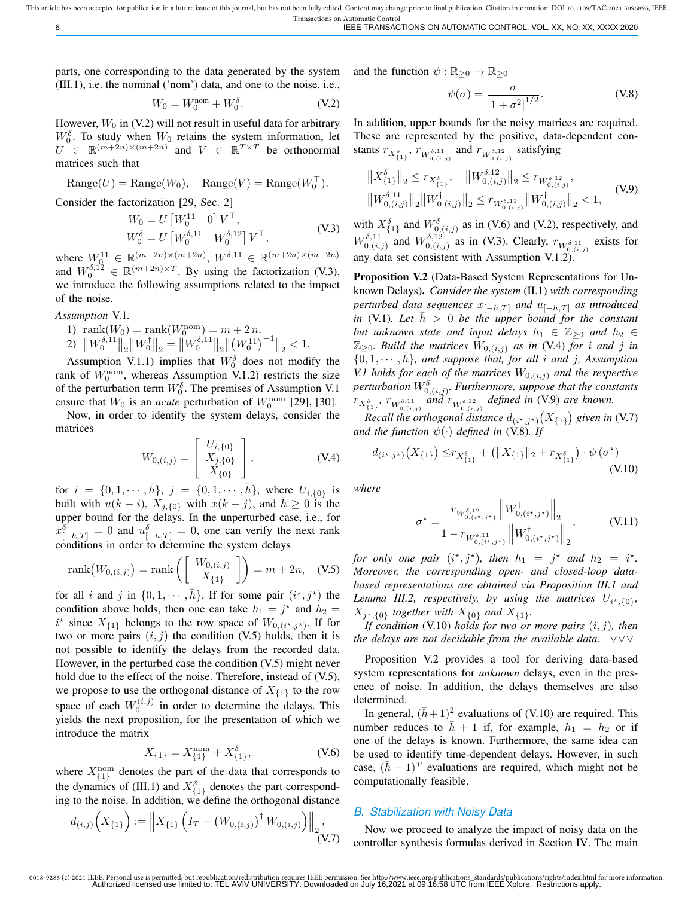This article has been accepted for publication in a future issue of this journal, but has not been fully edited. Content may change prior to final publication. Citation information: DOI 10.1109/TAC.2021.3096896, IEEE

Transactions on Automatic Control 6 IEEE TRANSACTIONS ON AUTOMATIC CONTROL, VOL. XX, NO. XX, XXXX 2020

parts, one corresponding to the data generated by the system (III.1), i.e. the nominal ('nom') data, and one to the noise, i.e.,

$$
W_0 = W_0^{\text{nom}} + W_0^{\delta}.
$$
 (V.2)

However,  $W_0$  in (V.2) will not result in useful data for arbitrary  $W_0^{\delta}$ . To study when  $W_0$  retains the system information, let  $U \in \mathbb{R}^{(m+2n)\times(m+2n)}$  and  $V \in \mathbb{R}^{T\times T}$  be orthonormal matrices such that

$$
\text{Range}(U) = \text{Range}(W_0), \quad \text{Range}(V) = \text{Range}(W_0^{\top}).
$$

Consider the factorization [29, Sec. 2]

$$
W_0 = U \begin{bmatrix} W_0^{11} & 0 \end{bmatrix} V^{\top}, W_0^{\delta} = U \begin{bmatrix} W_0^{\delta,11} & W_0^{\delta,12} \end{bmatrix} V^{\top},
$$
 (V.3)

where  $W_0^{11} \in \mathbb{R}^{(m+2n)\times(m+2n)}$ ,  $W^{\delta,11} \in \mathbb{R}^{(m+2n)\times(m+2n)}$ and  $W_0^{\delta,1\,2} \in \mathbb{R}^{(m+2n)\times T}$ . By using the factorization (V.3), we introduce the following assumptions related to the impact of the noise.

*Assumption* V.1*.*

1)  $\text{rank}(W_0) = \text{rank}(W_0^{\text{nom}}) = m + 2n$ . 2)  $\left\|W_0^{\delta,11}\right\|_2 \left\|W_0^{\dagger}\right\|_2 = \left\|W_0^{\delta,11}\right\|_2 \left\|\left(W_0^{11}\right)^{-1}\right\|_2 < 1.$ 

Assumption V.1.1) implies that  $W_0^{\delta}$  does not modify the rank of  $W_0^{\text{nom}}$ , whereas Assumption V.1.2) restricts the size of the perturbation term  $W_0^{\delta}$ . The premises of Assumption V.1 ensure that  $W_0$  is an *acute* perturbation of  $W_0^{\text{nom}}$  [29], [30].

Now, in order to identify the system delays, consider the matrices

$$
W_{0,(i,j)} = \begin{bmatrix} U_{i, \{0\}} \\ X_{j, \{0\}} \\ X_{\{0\}} \end{bmatrix}, \tag{V.4}
$$

for  $i = \{0, 1, \dots, \bar{h}\}, j = \{0, 1, \dots, \bar{h}\},\$  where  $U_{i, \{0\}}$  is built with  $u(k - i)$ ,  $X_{j,\lbrace 0 \rbrace}$  with  $x(k - j)$ , and  $\bar{h} \geq 0$  is the upper bound for the delays. In the unperturbed case, i.e., for  $x^{\delta}_{[-\bar{h},T]} = 0$  and  $u^{\delta}_{[-\bar{h},T]} = 0$ , one can verify the next rank conditions in order to determine the system delays

rank
$$
(W_{0,(i,j)})
$$
 = rank $\left(\left[\frac{W_{0,(i,j)}}{X_{\{1\}}}\right]\right)$  = m + 2n, (V.5)

for all i and j in  $\{0, 1, \dots, \bar{h}\}$ . If for some pair  $(i^*, j^*)$  the condition above holds, then one can take  $h_1 = j^*$  and  $h_2 =$  $i^*$  since  $X_{\{1\}}$  belongs to the row space of  $W_{0,(i^*,j^*)}$ . If for two or more pairs  $(i, j)$  the condition (V.5) holds, then it is not possible to identify the delays from the recorded data. However, in the perturbed case the condition (V.5) might never hold due to the effect of the noise. Therefore, instead of (V.5), we propose to use the orthogonal distance of  $X_{\{1\}}$  to the row space of each  $W_0^{(i,j)}$  in order to determine the delays. This yields the next proposition, for the presentation of which we introduce the matrix

$$
X_{\{1\}} = X_{\{1\}}^{\text{nom}} + X_{\{1\}}^{\delta}, \tag{V.6}
$$

where  $X_{\{1\}}^{\text{nom}}$  denotes the part of the data that corresponds to the dynamics of (III.1) and  $X_{\{1\}}^{\delta}$  denotes the part corresponding to the noise. In addition, we define the orthogonal distance

$$
d_{(i,j)}\Big(X_{\{1\}}\Big) := \Big\|X_{\{1\}}\Big(I_T - \big(W_{0,(i,j)}\big)^\dagger W_{0,(i,j)}\Big)\Big\|_2,
$$
\n(V.7)

and the function  $\psi : \mathbb{R}_{\geq 0} \to \mathbb{R}_{\geq 0}$ 

$$
\psi(\sigma) = \frac{\sigma}{\left[1 + \sigma^2\right]^{1/2}}.\tag{V.8}
$$

In addition, upper bounds for the noisy matrices are required. These are represented by the positive, data-dependent constants  $r_{X_{\{1\}}^{\delta}}, r_{W_{0,(i,j)}^{\delta,11}}$  and  $r_{W_{0,(i,j)}^{\delta,12}}$  satisfying

$$
\begin{aligned}\n\|X_{\{1\}}^{\delta}\|_{2} &\leq r_{X_{\{1\}}^{\delta}}, \quad \|W_{0,(i,j)}^{\delta,12}\|_{2} \leq r_{W_{0,(i,j)}^{\delta,12}}, \\
\|W_{0,(i,j)}^{\delta,11}\|_{2} \|W_{0,(i,j)}^{\dagger}\|_{2} &\leq r_{W_{0,(i,j)}^{\delta,11}} \|W_{0,(i,j)}^{\dagger}\|_{2} < 1,\n\end{aligned} \tag{V.9}
$$

with  $X_{\{1\}}^{\delta}$  and  $W_{0,(i,j)}^{\delta}$  as in (V.6) and (V.2), respectively, and  $W^{\delta,11}_{0\; (i)}$  $\int_{0,(i,j)}^{\delta,11}$  and  $W_{0,(i,j)}^{\delta,12}$  $_{0,(i,j)}^{0,12}$  as in (V.3). Clearly,  $r_{W_{0,(i,j)}^{\delta,11}}$  exists for any data set consistent with Assumption V.1.2).

Proposition V.2 (Data-Based System Representations for Unknown Delays). *Consider the system* (II.1) *with corresponding perturbed data sequences*  $x_{[-\bar{h},T]}$  *and*  $u_{[-\bar{h},T]}$  *as introduced in* (V.1). Let  $\bar{h} > 0$  *be the upper bound for the constant but unknown state and input delays*  $h_1 \in \mathbb{Z}_{\geq 0}$  *and*  $h_2 \in$  $\mathbb{Z}_{\geq 0}$ *. Build the matrices*  $W_{0,(i,j)}$  *as in* (V.4) *for i and j in*  $\{0, 1, \cdots, h\}$ , and suppose that, for all i and j, Assumption *V.1 holds for each of the matrices*  $W_{0,(i,j)}$  *and the respective* perturbation  $W^{\delta}_{0,(i,j)}$ . Furthermore, suppose that the constants  $r_{X_{\{1\}}^{\delta}}, r_{W_{0,(i,j)}^{\delta,11}}$  and  $r_{W_{0,(i,j)}^{\delta,12}}$  defined in (V.9) are known.

*Recall the orthogonal distance*  $d_{(i^*,j^*)}(X_{\{1\}})$  given in (V.7) *and the function*  $\psi(\cdot)$  *defined in* (V.8). If

$$
d_{(i^*,j^*)}(X_{\{1\}}) \leq r_{X_{\{1\}}^{\delta}} + \left( \|X_{\{1\}}\|_2 + r_{X_{\{1\}}^{\delta}} \right) \cdot \psi\left(\sigma^{\star}\right) \tag{V.10}
$$

*where*

$$
\sigma^* = \frac{r_{W_{0,(i^*,j^*)}^{\delta,12}} \left\| W_{0,(i^*,j^*)}^\dagger \right\|_2}{1 - r_{W_{0,(i^*,j^*)}^{\delta,11}} \left\| W_{0,(i^*,j^*)}^\dagger \right\|_2},\tag{V.11}
$$

*for only one pair*  $(i^*, j^*)$ *, then*  $h_1 = j^*$  *and*  $h_2 = i^*$ *. Moreover, the corresponding open- and closed-loop databased representations are obtained via Proposition III.1 and* Lemma III.2, respectively, by using the matrices  $U_{i^*,0}$ ,  $X_{j^*,\{0\}}$  together with  $X_{\{0\}}$  and  $X_{\{1\}}$ .

*If condition* (V.10) *holds for two or more pairs* (i, j)*, then the delays are not decidable from the available data.*  $\nabla \nabla \nabla$ 

Proposition V.2 provides a tool for deriving data-based system representations for *unknown* delays, even in the presence of noise. In addition, the delays themselves are also determined.

In general,  $(\bar{h}+1)^2$  evaluations of (V.10) are required. This number reduces to  $\bar{h} + 1$  if, for example,  $h_1 = h_2$  or if one of the delays is known. Furthermore, the same idea can be used to identify time-dependent delays. However, in such case,  $(\bar{h} + 1)^T$  evaluations are required, which might not be computationally feasible.

## *B. Stabilization with Noisy Data*

Now we proceed to analyze the impact of noisy data on the controller synthesis formulas derived in Section IV. The main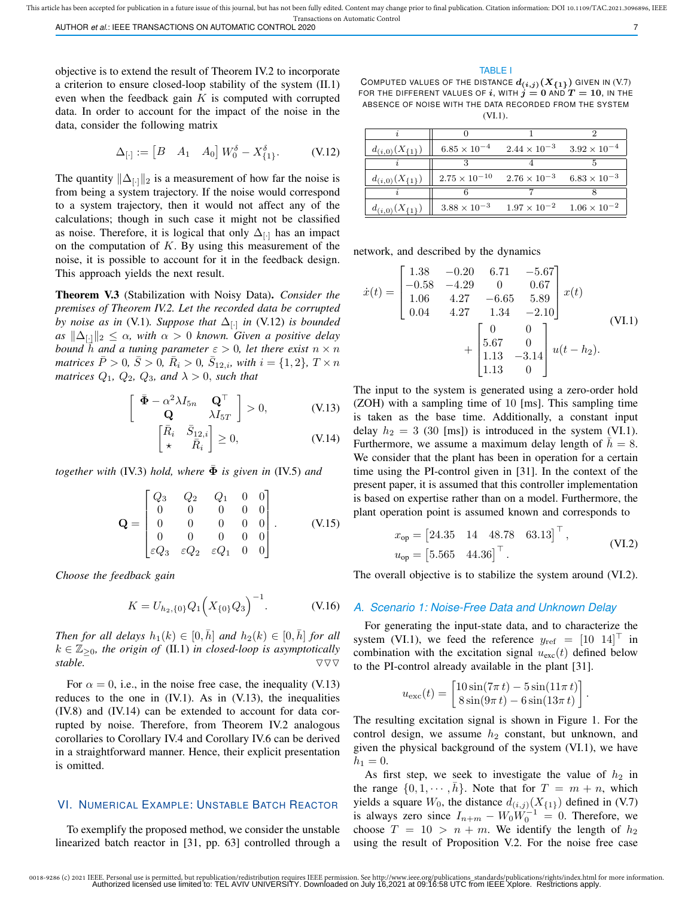objective is to extend the result of Theorem IV.2 to incorporate a criterion to ensure closed-loop stability of the system (II.1) even when the feedback gain  $K$  is computed with corrupted data. In order to account for the impact of the noise in the data, consider the following matrix

$$
\Delta_{[\cdot]} := \begin{bmatrix} B & A_1 & A_0 \end{bmatrix} W_0^{\delta} - X_{\{1\}}^{\delta}.
$$
 (V.12)

The quantity  $\|\Delta_{[\cdot]}\|_2$  is a measurement of how far the noise is from being a system trajectory. If the noise would correspond to a system trajectory, then it would not affect any of the calculations; though in such case it might not be classified as noise. Therefore, it is logical that only  $\Delta_{\|\cdot\|}$  has an impact on the computation of  $K$ . By using this measurement of the noise, it is possible to account for it in the feedback design. This approach yields the next result.

Theorem V.3 (Stabilization with Noisy Data). *Consider the premises of Theorem IV.2. Let the recorded data be corrupted by noise as in* (V.1)*. Suppose that* ∆[·] *in* (V.12) *is bounded*  $as \|\Delta_{[\cdot]}\|_2 \leq \alpha$ , with  $\alpha > 0$  known. Given a positive delay *bound*  $\bar{h}$  *and a tuning parameter*  $\varepsilon > 0$ *, let there exist*  $n \times n$ *matrices*  $\bar{P} > 0$ ,  $\bar{S} > 0$ ,  $\bar{R}_i > 0$ ,  $\bar{S}_{12,i}$ , with  $i = \{1, 2\}$ ,  $T \times n$ *matrices*  $Q_1$ ,  $Q_2$ ,  $Q_3$ , and  $\lambda > 0$ , such that

$$
\left[\begin{array}{cc} \bar{\mathbf{\Phi}} - \alpha^2 \lambda I_{5n} & \mathbf{Q}^\top \\ \mathbf{Q} & \lambda I_{5T} \end{array}\right] > 0, \quad (V.13)
$$

$$
\begin{bmatrix} \bar{R}_i & \bar{S}_{12,i} \\ \star & \bar{R}_i \end{bmatrix} \ge 0,\tag{V.14}
$$

*together with* (IV.3) *hold, where*  $\bar{\Phi}$  *is given in* (IV.5) *and* 

$$
\mathbf{Q} = \begin{bmatrix} Q_3 & Q_2 & Q_1 & 0 & 0 \\ 0 & 0 & 0 & 0 & 0 \\ 0 & 0 & 0 & 0 & 0 \\ 0 & 0 & 0 & 0 & 0 \\ \varepsilon Q_3 & \varepsilon Q_2 & \varepsilon Q_1 & 0 & 0 \end{bmatrix} . \tag{V.15}
$$

*Choose the feedback gain*

$$
K = U_{h_2, \{0\}} Q_1 \Big( X_{\{0\}} Q_3 \Big)^{-1}.
$$
 (V.16)

*Then for all delays*  $h_1(k) \in [0, \bar{h}]$  *and*  $h_2(k) \in [0, \bar{h}]$  *for all*  $k \in \mathbb{Z}_{\geq 0}$ , the origin of (II.1) in closed-loop is asymptotically *stable.*  $\nabla \nabla \nabla$ 

For  $\alpha = 0$ , i.e., in the noise free case, the inequality (V.13) reduces to the one in  $(IV.1)$ . As in  $(V.13)$ , the inequalities (IV.8) and (IV.14) can be extended to account for data corrupted by noise. Therefore, from Theorem IV.2 analogous corollaries to Corollary IV.4 and Corollary IV.6 can be derived in a straightforward manner. Hence, their explicit presentation is omitted.

## VI. NUMERICAL EXAMPLE: UNSTABLE BATCH REACTOR

To exemplify the proposed method, we consider the unstable linearized batch reactor in [31, pp. 63] controlled through a

#### TABLE I

COMPUTED VALUES OF THE DISTANCE  $d_{(i,j)}(X_{\{1\}})$  GIVEN IN (V.7) FOR THE DIFFERENT VALUES OF i, WITH  $j = 0$  and  $T = 10$ , In the ABSENCE OF NOISE WITH THE DATA RECORDED FROM THE SYSTEM (VI.1).

| $d_{(i,0)}(X_{\{1\}})$ | $6.85 \times 10^{-4}$  | $2.44 \times 10^{-3}$ $3.92 \times 10^{-4}$ |                       |
|------------------------|------------------------|---------------------------------------------|-----------------------|
|                        |                        |                                             |                       |
| $d_{(i,0)}(X_{\{1\}})$ | $2.75 \times 10^{-10}$ | $2.76 \times 10^{-3}$                       | $6.83 \times 10^{-3}$ |
|                        |                        |                                             |                       |
| $d_{(i,0)}(X_{\{1\}})$ | $3.88 \times 10^{-3}$  | $1.97 \times 10^{-2}$                       | $1.06 \times 10^{-2}$ |

network, and described by the dynamics

$$
\dot{x}(t) = \begin{bmatrix} 1.38 & -0.20 & 6.71 & -5.67 \\ -0.58 & -4.29 & 0 & 0.67 \\ 1.06 & 4.27 & -6.65 & 5.89 \\ 0.04 & 4.27 & 1.34 & -2.10 \end{bmatrix} x(t)
$$

$$
+ \begin{bmatrix} 0 & 0 \\ 5.67 & 0 \\ 1.13 & -3.14 \\ 1.13 & 0 \end{bmatrix} u(t - h_2).
$$
(VI.1)

The input to the system is generated using a zero-order hold (ZOH) with a sampling time of 10 [ms]. This sampling time is taken as the base time. Additionally, a constant input delay  $h_2 = 3$  (30 [ms]) is introduced in the system (VI.1). Furthermore, we assume a maximum delay length of  $h = 8$ . We consider that the plant has been in operation for a certain time using the PI-control given in [31]. In the context of the present paper, it is assumed that this controller implementation is based on expertise rather than on a model. Furthermore, the plant operation point is assumed known and corresponds to

$$
x_{\text{op}} = \begin{bmatrix} 24.35 & 14 & 48.78 & 63.13 \end{bmatrix}^{\top},
$$
  
\n
$$
u_{\text{op}} = \begin{bmatrix} 5.565 & 44.36 \end{bmatrix}^{\top}.
$$
 (VI.2)

The overall objective is to stabilize the system around (VI.2).

#### *A. Scenario 1: Noise-Free Data and Unknown Delay*

For generating the input-state data, and to characterize the system (VI.1), we feed the reference  $y_{ref} = \begin{bmatrix} 10 & 14 \end{bmatrix}^\dagger$  in combination with the excitation signal  $u_{\text{exc}}(t)$  defined below to the PI-control already available in the plant [31].

$$
u_{\text{exc}}(t) = \begin{bmatrix} 10\sin(7\pi t) - 5\sin(11\pi t) \\ 8\sin(9\pi t) - 6\sin(13\pi t) \end{bmatrix}
$$

.

The resulting excitation signal is shown in Figure 1. For the control design, we assume  $h_2$  constant, but unknown, and given the physical background of the system (VI.1), we have  $h_1 = 0.$ 

As first step, we seek to investigate the value of  $h_2$  in the range  $\{0, 1, \dots, \bar{h}\}$ . Note that for  $T = m + n$ , which yields a square  $W_0$ , the distance  $d_{(i,j)}(X_{\{1\}})$  defined in (V.7) is always zero since  $I_{n+m} - W_0 W_0^{-1} = 0$ . Therefore, we choose  $T = 10 > n + m$ . We identify the length of  $h_2$ using the result of Proposition V.2. For the noise free case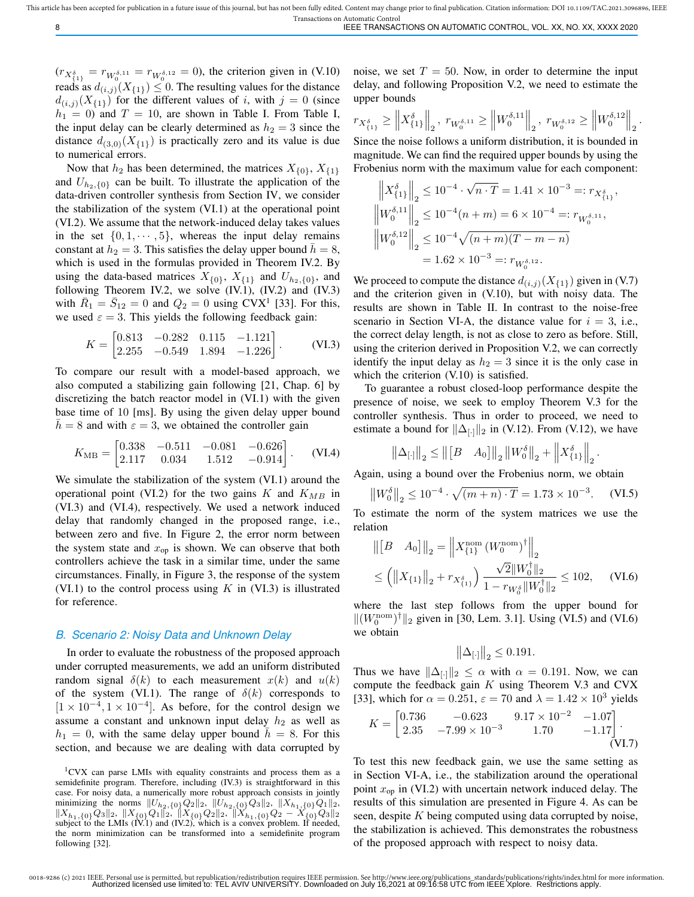This article has been accepted for publication in a future issue of this journal, but has not been fully edited. Content may change prior to final publication. Citation information: DOI 10.1109/TAC.2021.3096896, IEEE Transactions on Automatic Control

 $(r_{X_{\{1\}}^{\delta}} = r_{W_0^{\delta,11}} = r_{W_0^{\delta,12}} = 0)$ , the criterion given in (V.10) reads as  $d_{(i,j)}(X_{\{1\}}) \leq 0$ . The resulting values for the distance  $d_{(i,j)}(X_{\{1\}})$  for the different values of i, with  $j = 0$  (since  $h_1 = 0$ ) and  $T = 10$ , are shown in Table I. From Table I, the input delay can be clearly determined as  $h_2 = 3$  since the distance  $d_{(3,0)}(X_{\{1\}})$  is practically zero and its value is due to numerical errors.

Now that  $h_2$  has been determined, the matrices  $X_{\{0\}}, X_{\{1\}}$ and  $U_{h_2,\lbrace 0 \rbrace}$  can be built. To illustrate the application of the data-driven controller synthesis from Section IV, we consider the stabilization of the system (VI.1) at the operational point (VI.2). We assume that the network-induced delay takes values in the set  $\{0, 1, \dots, 5\}$ , whereas the input delay remains constant at  $h_2 = 3$ . This satisfies the delay upper bound  $h = 8$ , which is used in the formulas provided in Theorem IV.2. By using the data-based matrices  $X_{\{0\}}$ ,  $X_{\{1\}}$  and  $U_{h_2,\{0\}}$ , and following Theorem IV.2, we solve (IV.1), (IV.2) and (IV.3) with  $\overline{R}_1 = \overline{S}_{12} = 0$  and  $Q_2 = 0$  using CVX<sup>1</sup> [33]. For this, we used  $\varepsilon = 3$ . This yields the following feedback gain:

$$
K = \begin{bmatrix} 0.813 & -0.282 & 0.115 & -1.121 \\ 2.255 & -0.549 & 1.894 & -1.226 \end{bmatrix}.
$$
 (VI.3)

To compare our result with a model-based approach, we also computed a stabilizing gain following [21, Chap. 6] by discretizing the batch reactor model in (VI.1) with the given base time of 10 [ms]. By using the given delay upper bound  $\bar{h} = 8$  and with  $\varepsilon = 3$ , we obtained the controller gain

$$
K_{\rm MB} = \begin{bmatrix} 0.338 & -0.511 & -0.081 & -0.626 \\ 2.117 & 0.034 & 1.512 & -0.914 \end{bmatrix} . \tag{VI.4}
$$

We simulate the stabilization of the system (VI.1) around the operational point (VI.2) for the two gains K and  $K_{MB}$  in (VI.3) and (VI.4), respectively. We used a network induced delay that randomly changed in the proposed range, i.e., between zero and five. In Figure 2, the error norm between the system state and  $x_{op}$  is shown. We can observe that both controllers achieve the task in a similar time, under the same circumstances. Finally, in Figure 3, the response of the system (VI.1) to the control process using  $K$  in (VI.3) is illustrated for reference.

## *B. Scenario 2: Noisy Data and Unknown Delay*

In order to evaluate the robustness of the proposed approach under corrupted measurements, we add an uniform distributed random signal  $\delta(k)$  to each measurement  $x(k)$  and  $u(k)$ of the system (VI.1). The range of  $\delta(k)$  corresponds to  $[1 \times 10^{-4}, 1 \times 10^{-4}]$ . As before, for the control design we assume a constant and unknown input delay  $h_2$  as well as  $h_1 = 0$ , with the same delay upper bound  $h = 8$ . For this section, and because we are dealing with data corrupted by noise, we set  $T = 50$ . Now, in order to determine the input delay, and following Proposition V.2, we need to estimate the upper bounds

$$
r_{X_{\left\{1\right\}}^{\delta}}\geq\left\Vert X_{\left\{1\right\}}^{\delta}\right\Vert _{2},\ r_{W_{0}^{\delta,11}}\geq\left\Vert W_{0}^{\delta,11}\right\Vert _{2},\ r_{W_{0}^{\delta,12}}\geq\left\Vert W_{0}^{\delta,12}\right\Vert _{2}
$$

.

Since the noise follows a uniform distribution, it is bounded in magnitude. We can find the required upper bounds by using the Frobenius norm with the maximum value for each component:

$$
\label{eq:20} \begin{split} \left\|X^\delta_{\{1\}}\right\|_2 &\leq 10^{-4}\cdot \sqrt{n\cdot T} = 1.41\times 10^{-3} =:r_{X^\delta_{\{1\}}},\\ \left\|W^{\delta,11}_0\right\|_2 &\leq 10^{-4}(n+m) = 6\times 10^{-4} =:r_{W^{\delta,11}_0},\\ \left\|W^{\delta,12}_0\right\|_2 &\leq 10^{-4}\sqrt{(n+m)(T-m-n)}\\ &= 1.62\times 10^{-3} =:r_{W^{\delta,12}_0}. \end{split}
$$

We proceed to compute the distance  $d_{(i,j)}(X_{\{1\}})$  given in (V.7) and the criterion given in (V.10), but with noisy data. The results are shown in Table II. In contrast to the noise-free scenario in Section VI-A, the distance value for  $i = 3$ , i.e., the correct delay length, is not as close to zero as before. Still, using the criterion derived in Proposition V.2, we can correctly identify the input delay as  $h_2 = 3$  since it is the only case in which the criterion  $(V.10)$  is satisfied.

To guarantee a robust closed-loop performance despite the presence of noise, we seek to employ Theorem V.3 for the controller synthesis. Thus in order to proceed, we need to estimate a bound for  $\|\Delta_{[\cdot]}\|_2$  in (V.12). From (V.12), we have

$$
\left\|\Delta_{[\cdot]}\right\|_{2} \le \left\|\left[B - A_{0}\right]\right\|_{2} \left\|W_{0}^{\delta}\right\|_{2} + \left\|X_{\{1\}}^{\delta}\right\|_{2}
$$

Again, using a bound over the Frobenius norm, we obtain

$$
\left\|W_0^{\delta}\right\|_2 \le 10^{-4} \cdot \sqrt{(m+n)\cdot T} = 1.73 \times 10^{-3}.
$$
 (VI.5)

.

To estimate the norm of the system matrices we use the relation

$$
\begin{aligned} \left\| \begin{bmatrix} B & A_0 \end{bmatrix} \right\|_2 &= \left\| X_{\{1\}}^{\text{nom}} \left( W_0^{\text{nom}} \right)^{\dagger} \right\|_2 \\ &\le \left( \left\| X_{\{1\}} \right\|_2 + r_{X_{\{1\}}^{\delta}} \right) \frac{\sqrt{2} \| W_0^{\dagger} \|_2}{1 - r_{W_0^{\delta}} \| W_0^{\dagger} \|_2} \le 102, \end{aligned} \tag{V1.6}
$$

where the last step follows from the upper bound for  $||(W_0^{\text{nom}})^{\dagger}||_2$  given in [30, Lem. 3.1]. Using (VI.5) and (VI.6) we obtain

$$
\left\|\Delta_{[\cdot]}\right\|_2 \leq 0.191.
$$

Thus we have  $\|\Delta_{[\cdot]}\|_2 \leq \alpha$  with  $\alpha = 0.191$ . Now, we can compute the feedback gain K using Theorem V.3 and CVX [33], which for  $\alpha = 0.251$ ,  $\varepsilon = 70$  and  $\lambda = 1.42 \times 10^3$  yields

$$
K = \begin{bmatrix} 0.736 & -0.623 & 9.17 \times 10^{-2} & -1.07 \\ 2.35 & -7.99 \times 10^{-3} & 1.70 & -1.17 \end{bmatrix}.
$$
\n(VI.7)

To test this new feedback gain, we use the same setting as in Section VI-A, i.e., the stabilization around the operational point  $x_{\text{op}}$  in (VI.2) with uncertain network induced delay. The results of this simulation are presented in Figure 4. As can be seen, despite  $K$  being computed using data corrupted by noise, the stabilization is achieved. This demonstrates the robustness of the proposed approach with respect to noisy data.

<sup>1</sup>CVX can parse LMIs with equality constraints and process them as a semidefinite program. Therefore, including (IV.3) is straightforward in this case. For noisy data, a numerically more robust approach consists in jointly minimizing the norms  $||U_{h_2,\{0\}}Q_2||_2$ ,  $||U_{h_2,\{0\}}Q_3||_2$ ,  $||X_{h_1,\{0\}}Q_1||_2$ ,  $\|X_{h_1,\{0\}}Q_3\|_2$ ,  $\|X_{\{0\}}Q_1\|_2$ ,  $\|X_{\{0\}}Q_2\|_2$ ,  $\|X_{h_1,\{0\}}Q_2 - X_{\{0\}}Q_3\|_2$ <br>subject to the LMIs (IV.1) and (IV.2), which is a convex problem. If needed, the norm minimization can be transformed into a semidefinite program following [32].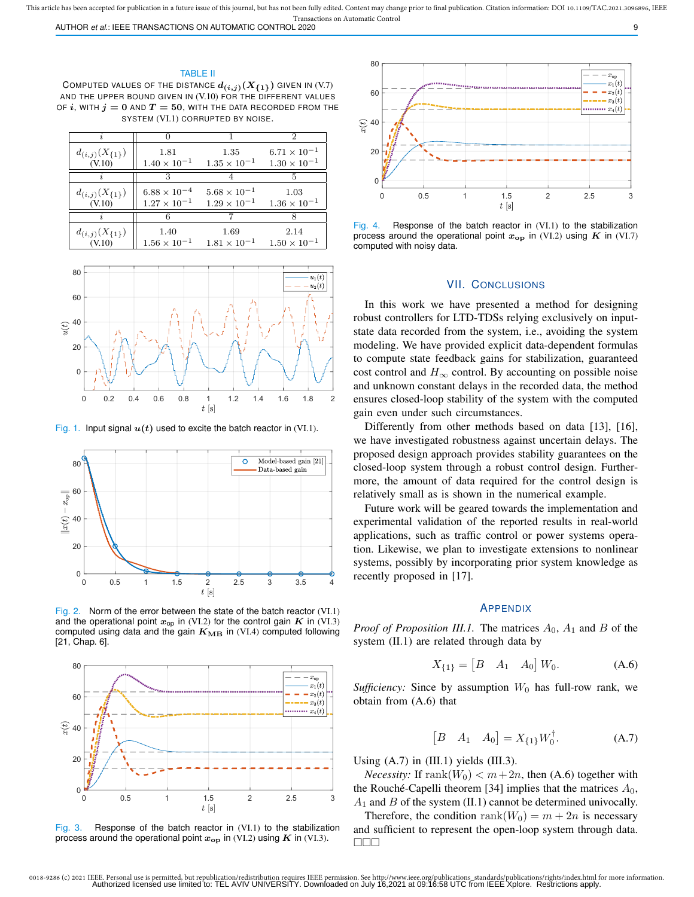AUTHOR *et al.*: IEEE TRANSACTIONS ON AUTOMATIC CONTROL 2020 9

#### TABLE II

COMPUTED VALUES OF THE DISTANCE  $d_{(i,j)}(X_{\{1\}})$  given in (V.7) AND THE UPPER BOUND GIVEN IN (V.10) FOR THE DIFFERENT VALUES OF  $i$ , WITH  $j = 0$  and  $T = 50$ , WITH THE DATA RECORDED FROM THE SYSTEM (VI.1) CORRUPTED BY NOISE.

|                        |                       |                       | 2                     |
|------------------------|-----------------------|-----------------------|-----------------------|
| $d_{(i,j)}(X_{\{1\}})$ | 1.81                  | $1.35\,$              | $6.71 \times 10^{-1}$ |
| (V.10)                 | $1.40 \times 10^{-1}$ | $1.35 \times 10^{-1}$ | $1.30 \times 10^{-1}$ |
|                        |                       |                       | 5                     |
| $d_{(i,j)}(X_{\{1\}})$ | $6.88 \times 10^{-4}$ | $5.68 \times 10^{-1}$ | 1.03                  |
| (V.10)                 | $1.27 \times 10^{-1}$ | $1.29 \times 10^{-1}$ | $1.36 \times 10^{-1}$ |
|                        |                       |                       |                       |
| $d_{(i,j)}(X_{\{1\}})$ | 1.40                  | 1.69                  | 2.14                  |
| (V.10)                 | $1.56 \times 10^{-1}$ | $1.81 \times 10^{-1}$ | $1.50 \times 10^{-1}$ |



Fig. 1. Input signal  $u(t)$  used to excite the batch reactor in (VI.1).



Fig. 2. Norm of the error between the state of the batch reactor (VI.1) and the operational point  $x_{\text{op}}$  in (VI.2) for the control gain  $K$  in (VI.3) computed using data and the gain  $K_{\text{MB}}$  in (VI.4) computed following [21, Chap. 6].



Fig. 3. Response of the batch reactor in (VI.1) to the stabilization process around the operational point  $x_{\text{op}}$  in (VI.2) using  $K$  in (VI.3).



Fig. 4. Response of the batch reactor in (VI.1) to the stabilization process around the operational point  $x_{op}$  in (VI.2) using K in (VI.7) computed with noisy data.

#### VII. CONCLUSIONS

In this work we have presented a method for designing robust controllers for LTD-TDSs relying exclusively on inputstate data recorded from the system, i.e., avoiding the system modeling. We have provided explicit data-dependent formulas to compute state feedback gains for stabilization, guaranteed cost control and  $H_{\infty}$  control. By accounting on possible noise and unknown constant delays in the recorded data, the method ensures closed-loop stability of the system with the computed gain even under such circumstances.

Differently from other methods based on data [13], [16], we have investigated robustness against uncertain delays. The proposed design approach provides stability guarantees on the closed-loop system through a robust control design. Furthermore, the amount of data required for the control design is relatively small as is shown in the numerical example.

Future work will be geared towards the implementation and experimental validation of the reported results in real-world applications, such as traffic control or power systems operation. Likewise, we plan to investigate extensions to nonlinear systems, possibly by incorporating prior system knowledge as recently proposed in [17].

## APPENDIX

*Proof of Proposition III.1.* The matrices  $A_0$ ,  $A_1$  and  $B$  of the system (II.1) are related through data by

$$
X_{\{1\}} = \begin{bmatrix} B & A_1 & A_0 \end{bmatrix} W_0.
$$
 (A.6)

*Sufficiency:* Since by assumption  $W_0$  has full-row rank, we obtain from (A.6) that

$$
[B \quad A_1 \quad A_0] = X_{\{1\}} W_0^{\dagger}.
$$
 (A.7)

Using  $(A.7)$  in  $(III.1)$  yields  $(III.3)$ .

*Necessity:* If  $\text{rank}(W_0) < m + 2n$ , then (A.6) together with the Rouché-Capelli theorem [34] implies that the matrices  $A_0$ ,  $A_1$  and  $B$  of the system (II.1) cannot be determined univocally.

Therefore, the condition rank $(W_0) = m + 2n$  is necessary and sufficient to represent the open-loop system through data. **NNN**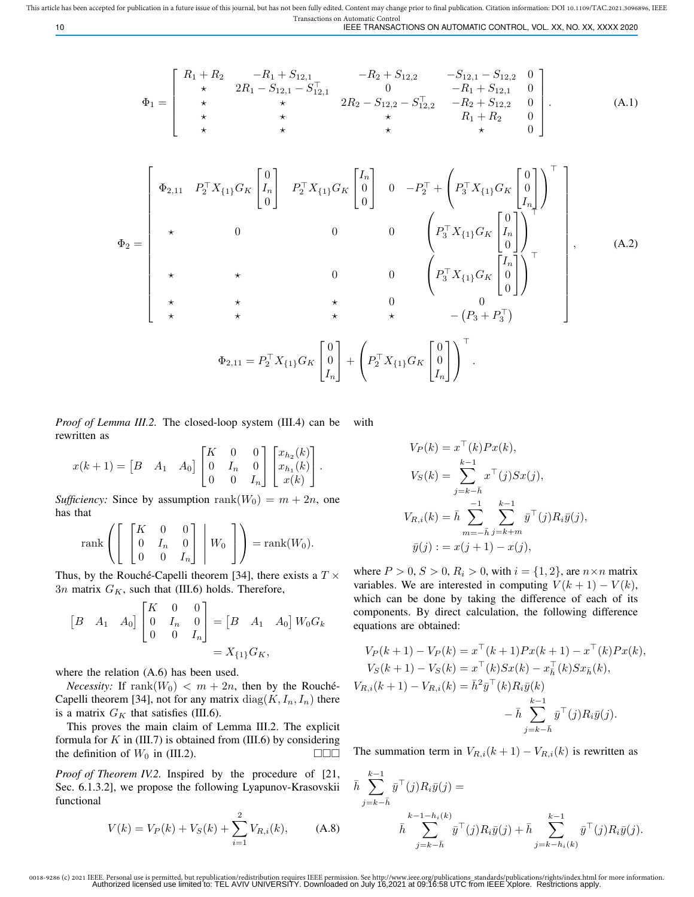10 IEEE TRANSACTIONS ON AUTOMATIC CONTROL, VOL. XX, NO. XX, XXXX 2020

$$
\Phi_1 = \begin{bmatrix} R_1 + R_2 & -R_1 + S_{12,1} & -R_2 + S_{12,2} & -S_{12,1} - S_{12,2} & 0 \\ \star & 2R_1 - S_{12,1} - S_{12,1}^{\top} & 0 & -R_1 + S_{12,1} & 0 \\ \star & \star & 2R_2 - S_{12,2} - S_{12,2}^{\top} & -R_2 + S_{12,2} & 0 \\ \star & \star & \star & R_1 + R_2 & 0 \\ \star & \star & \star & \star & 0 \end{bmatrix} .
$$
 (A.1)

$$
\Phi_{2} = \begin{bmatrix}\n\Phi_{2,11} & P_{2}^{\top} X_{\{1\}} G_{K} \begin{bmatrix} 0 \\ I_{n} \\ 0 \end{bmatrix} & P_{2}^{\top} X_{\{1\}} G_{K} \begin{bmatrix} I_{n} \\ 0 \\ 0 \end{bmatrix} & 0 & -P_{2}^{\top} + \left( P_{3}^{\top} X_{\{1\}} G_{K} \begin{bmatrix} 0 \\ 0 \\ I_{n} \end{bmatrix} \right)^{\top} \\
\star \qquad 0 & 0 & 0 & \left( P_{3}^{\top} X_{\{1\}} G_{K} \begin{bmatrix} 0 \\ I_{n} \\ 0 \end{bmatrix} \right)^{\top} \\
\star \qquad \star \qquad 0 & 0 & \left( P_{3}^{\top} X_{\{1\}} G_{K} \begin{bmatrix} I_{n} \\ 0 \\ 0 \end{bmatrix} \right)^{\top} \\
\star \qquad \star \qquad \star \qquad 0 & 0 & 0 \\
\star \qquad \star \qquad \star \qquad 0 & 0 & \left( P_{3}^{\top} X_{\{1\}} G_{K} \begin{bmatrix} I_{n} \\ 0 \\ 0 \end{bmatrix} \right)^{\top} \\
\Phi_{2,11} = P_{2}^{\top} X_{\{1\}} G_{K} \begin{bmatrix} 0 \\ 0 \\ I_{n} \end{bmatrix} + \left( P_{2}^{\top} X_{\{1\}} G_{K} \begin{bmatrix} 0 \\ 0 \\ I_{n} \end{bmatrix} \right)^{\top}.\n\tag{A.2}
$$

*Proof of Lemma III.2.* The closed-loop system (III.4) can be rewritten as with

$$
x(k+1) = \begin{bmatrix} B & A_1 & A_0 \end{bmatrix} \begin{bmatrix} K & 0 & 0 \\ 0 & I_n & 0 \\ 0 & 0 & I_n \end{bmatrix} \begin{bmatrix} x_{h_2}(k) \\ x_{h_1}(k) \\ x(k) \end{bmatrix}.
$$

*Sufficiency:* Since by assumption  $\text{rank}(W_0) = m + 2n$ , one has that

$$
\operatorname{rank}\left(\left[\begin{array}{ccc} K & 0 & 0 \\ 0 & I_n & 0 \\ 0 & 0 & I_n \end{array}\right] \middle| W_0 \right] \right) = \operatorname{rank}(W_0).
$$

Thus, by the Rouché-Capelli theorem [34], there exists a  $T \times$  $3n$  matrix  $G_K$ , such that (III.6) holds. Therefore,

$$
\begin{bmatrix} B & A_1 & A_0 \end{bmatrix} \begin{bmatrix} K & 0 & 0 \\ 0 & I_n & 0 \\ 0 & 0 & I_n \end{bmatrix} = \begin{bmatrix} B & A_1 & A_0 \end{bmatrix} W_0 G_k
$$

$$
= X_{\{1\}} G_K,
$$

where the relation (A.6) has been used.

*Necessity:* If  $\text{rank}(W_0) < m + 2n$ , then by the Rouché-Capelli theorem [34], not for any matrix  $diag(K, I_n, I_n)$  there is a matrix  $G_K$  that satisfies (III.6).

This proves the main claim of Lemma III.2. The explicit formula for  $K$  in (III.7) is obtained from (III.6) by considering the definition of  $W_0$  in (III.2).

*Proof of Theorem IV.2.* Inspired by the procedure of [21, Sec. 6.1.3.2], we propose the following Lyapunov-Krasovskii functional

$$
V(k) = V_P(k) + V_S(k) + \sum_{i=1}^{2} V_{R,i}(k), \quad (A.8)
$$

$$
V_P(k) = x^{\top}(k)Px(k),
$$
  
\n
$$
V_S(k) = \sum_{j=k-\bar{h}}^{k-1} x^{\top}(j)Sx(j),
$$
  
\n
$$
V_{R,i}(k) = \bar{h} \sum_{m=-\bar{h}}^{-1} \sum_{j=k+m}^{k-1} \bar{y}^{\top}(j)R_i\bar{y}(j),
$$
  
\n
$$
\bar{y}(j) := x(j+1) - x(j),
$$

where  $P > 0$ ,  $S > 0$ ,  $R_i > 0$ , with  $i = \{1, 2\}$ , are  $n \times n$  matrix variables. We are interested in computing  $V(k + 1) - V(k)$ , which can be done by taking the difference of each of its components. By direct calculation, the following difference equations are obtained:

$$
V_P(k+1) - V_P(k) = x^{\top}(k+1)Px(k+1) - x^{\top}(k)Px(k),
$$
  
\n
$$
V_S(k+1) - V_S(k) = x^{\top}(k)Sx(k) - x_k^{\top}(k)Sx_k(k),
$$
  
\n
$$
V_{R,i}(k+1) - V_{R,i}(k) = \bar{h}^2 \bar{y}^{\top}(k)R_i\bar{y}(k)
$$
  
\n
$$
-\bar{h}\sum_{j=k-\bar{h}}^{k-1} \bar{y}^{\top}(j)R_i\bar{y}(j).
$$

The summation term in  $V_{R,i}(k+1) - V_{R,i}(k)$  is rewritten as

$$
\bar{h} \sum_{j=k-\bar{h}}^{k-1} \bar{y}^{\top}(j) R_i \bar{y}(j) =
$$
\n
$$
\bar{h} \sum_{j=k-\bar{h}}^{k-1-h_i(k)} \bar{y}^{\top}(j) R_i \bar{y}(j) + \bar{h} \sum_{j=k-h_i(k)}^{k-1} \bar{y}^{\top}(j) R_i \bar{y}(j).
$$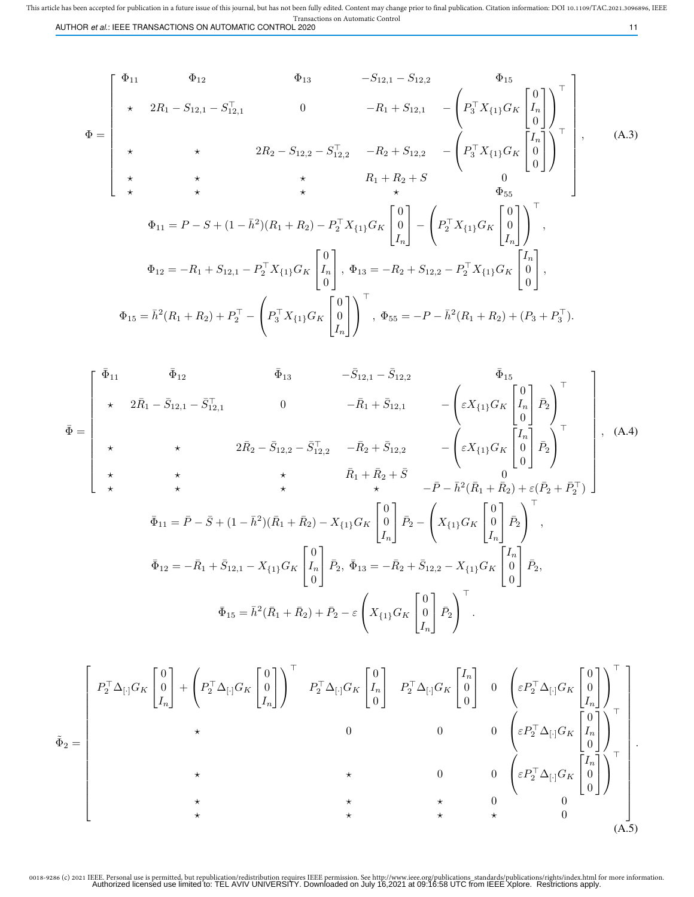This article has been accepted for publication in a future issue of this journal, but has not been fully edited. Content may change prior to final publication. Citation information: DOI 10.1109/TAC.2021.3096896, IEEE Transactions on Automatic Control<br>AUTHOR *et al.*: IEEE TRANSACTIONS ON AUTOMATIC CONTROL 2020

$$
\Phi = \begin{bmatrix}\n\Phi_{11} & \Phi_{12} & \Phi_{13} & -S_{12,1} - S_{12,2} & \Phi_{15} \\
\star & 2R_1 - S_{12,1} - S_{12,1}^{\top} & 0 & -R_1 + S_{12,1} & -\left(P_3^{\top} X_{\{1\}} G_K \begin{bmatrix} 0 \\ I_n \\ 0 \end{bmatrix}\right)^{\top} \\
\star & \star & 2R_2 - S_{12,2} - S_{12,2}^{\top} & -R_2 + S_{12,2} & -\left(P_3^{\top} X_{\{1\}} G_K \begin{bmatrix} I_n \\ 0 \\ 0 \end{bmatrix}\right)^{\top} \\
\star & \star & \star & R_1 + R_2 + S & 0 \\
\star & \star & \star & \Phi_{55} \\
\Phi_{11} = P - S + (1 - \bar{h}^2)(R_1 + R_2) - P_2^{\top} X_{\{1\}} G_K \begin{bmatrix} 0 \\ 0 \\ I_n \end{bmatrix} - \left(P_2^{\top} X_{\{1\}} G_K \begin{bmatrix} 0 \\ 0 \\ I_n \end{bmatrix}\right)^{\top}, \\
\Phi_{12} = -R_1 + S_{12,1} - P_2^{\top} X_{\{1\}} G_K \begin{bmatrix} 0 \\ I_n \\ 0 \end{bmatrix}, \Phi_{13} = -R_2 + S_{12,2} - P_2^{\top} X_{\{1\}} G_K \begin{bmatrix} I_n \\ 0 \\ 0 \end{bmatrix}, \\
\Phi_{15} = \bar{h}^2 (R_1 + R_2) + P_2^{\top} - \left(P_3^{\top} X_{\{1\}} G_K \begin{bmatrix} 0 \\ 0 \\ I_n \end{bmatrix}\right)^{\top}, \Phi_{55} = -P - \bar{h}^2 (R_1 + R_2) + (P_3 + P_3^{\top}).\n\end{bmatrix}
$$
\n(A.3)

$$
\bar{\Phi} = \begin{bmatrix}\n\bar{\Phi}_{11} & \bar{\Phi}_{12} & \bar{\Phi}_{13} & -\bar{S}_{12,1} - \bar{S}_{12,2} & \bar{\Phi}_{15} \\
\star & 2\bar{R}_{1} - \bar{S}_{12,1} - \bar{S}_{12,1} & 0 & -\bar{R}_{1} + \bar{S}_{12,1} & -\left(\varepsilon X_{\{1\}} G_{K} \begin{bmatrix} 0 \\ I_{n} \\ 0 \end{bmatrix} \overline{P}_{2}\right)^{\top} \\
\star & \star & 2\bar{R}_{2} - \bar{S}_{12,2} - \bar{S}_{12,2}^{\top} & -\bar{R}_{2} + \bar{S}_{12,2} & -\left(\varepsilon X_{\{1\}} G_{K} \begin{bmatrix} 0 \\ 0 \\ 0 \end{bmatrix} \overline{P}_{2}\right)^{\top} \\
\star & \star & \star & \bar{R}_{1} + \bar{R}_{2} + \bar{S} & 0 \\
\star & \star & \star & \bar{R}_{1} + \bar{R}_{2} + \bar{S} & 0 \\
\bar{\Phi}_{11} = \bar{P} - \bar{S} + (1 - \bar{h}^{2})(\bar{R}_{1} + \bar{R}_{2}) - X_{\{1\}} G_{K} \begin{bmatrix} 0 \\ 0 \\ I_{n} \end{bmatrix} \overline{P}_{2} - \left(X_{\{1\}} G_{K} \begin{bmatrix} 0 \\ 0 \\ I_{n} \end{bmatrix} \overline{P}_{2}\right)^{\top}, \\
\bar{\Phi}_{12} = -\bar{R}_{1} + \bar{S}_{12,1} - X_{\{1\}} G_{K} \begin{bmatrix} 0 \\ I_{n} \\ 0 \end{bmatrix} \overline{P}_{2}, \bar{\Phi}_{13} = -\bar{R}_{2} + \bar{S}_{12,2} - X_{\{1\}} G_{K} \begin{bmatrix} I_{n} \\ 0 \\ 0 \end{bmatrix} \overline{P}_{2}, \\
\bar{\Phi}_{15} = \bar{h}^{2} (\bar{R}_{1} + \bar{R}_{2}) + \bar{P}_{2} - \varepsilon \left(X_{\{1\}} G_{K} \begin{bmatrix} 0 \\ 0 \\ I_{n} \end{bmatrix} \overline{P}_{2}\right)^{\top}.\n\end{bmatrix}.
$$

$$
\tilde{\Phi}_{2} = \begin{bmatrix} P_{2}^{\top} \Delta_{[\cdot]} G_{K} \begin{bmatrix} 0 \\ 0 \\ I_{n} \end{bmatrix} + \begin{bmatrix} P_{2}^{\top} \Delta_{[\cdot]} G_{K} \begin{bmatrix} 0 \\ 0 \\ I_{n} \end{bmatrix} \end{bmatrix}^{\top} & P_{2}^{\top} \Delta_{[\cdot]} G_{K} \begin{bmatrix} 0 \\ I_{n} \\ 0 \end{bmatrix} & P_{2}^{\top} \Delta_{[\cdot]} G_{K} \begin{bmatrix} I_{n} \\ 0 \\ 0 \end{bmatrix} & 0 & \begin{bmatrix} \varepsilon P_{2}^{\top} \Delta_{[\cdot]} G_{K} \begin{bmatrix} 0 \\ 0 \\ I_{n} \end{bmatrix} \end{bmatrix}^{\top} \\ \star & 0 & 0 & 0 & \begin{bmatrix} \varepsilon P_{2}^{\top} \Delta_{[\cdot]} G_{K} \begin{bmatrix} 0 \\ I_{n} \\ 0 \end{bmatrix} \end{bmatrix}^{\top} \\ \star & \star & 0 & 0 & \begin{bmatrix} \varepsilon P_{2}^{\top} \Delta_{[\cdot]} G_{K} \begin{bmatrix} I_{n} \\ 0 \\ 0 \end{bmatrix} \end{bmatrix}^{\top} \\ \star & \star & \star & 0 & 0 \\ \star & \star & \star & \star & 0 \\ \star & \star & \star & \star & 0 \end{bmatrix} \end{bmatrix}
$$
\n(A.5)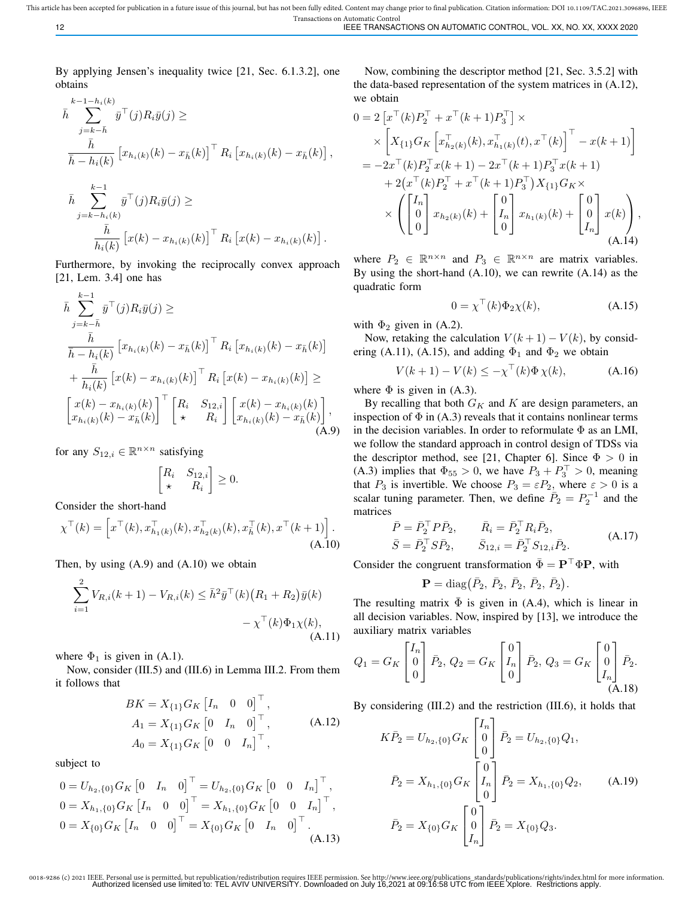By applying Jensen's inequality twice [21, Sec. 6.1.3.2], one obtains

$$
\bar{h} \sum_{j=k-\bar{h}}^{k-1-h_i(k)} \bar{y}^{\top}(j) R_i \bar{y}(j) \ge
$$
\n
$$
\frac{\bar{h}}{\bar{h} - h_i(k)} \left[ x_{h_i(k)}(k) - x_{\bar{h}}(k) \right]^{\top} R_i \left[ x_{h_i(k)}(k) - x_{\bar{h}}(k) \right],
$$
\n
$$
\bar{h} \sum_{j=k-h_i(k)}^{k-1} \bar{y}^{\top}(j) R_i \bar{y}(j) \ge
$$
\n
$$
\frac{\bar{h}}{h_i(k)} \left[ x(k) - x_{h_i(k)}(k) \right]^{\top} R_i \left[ x(k) - x_{h_i(k)}(k) \right].
$$

Furthermore, by invoking the reciprocally convex approach [21, Lem. 3.4] one has

$$
\bar{h} \sum_{j=k-\bar{h}}^{k-1} \bar{y}^{\top}(j) R_{i} \bar{y}(j) \ge
$$
\n
$$
\frac{\bar{h}}{\bar{h} - h_{i}(k)} \left[ x_{h_{i}(k)}(k) - x_{\bar{h}}(k) \right]^{\top} R_{i} \left[ x_{h_{i}(k)}(k) - x_{\bar{h}}(k) \right]
$$
\n
$$
+ \frac{\bar{h}}{h_{i}(k)} \left[ x(k) - x_{h_{i}(k)}(k) \right]^{\top} R_{i} \left[ x(k) - x_{h_{i}(k)}(k) \right] \ge
$$
\n
$$
\left[ x(k) - x_{h_{i}(k)}(k) \right]^{\top} \left[ R_{i} \quad S_{12,i} \right] \left[ x(k) - x_{h_{i}(k)}(k) \right],
$$
\n
$$
\left[ x_{h_{i}(k)}(k) - x_{\bar{h}}(k) \right] \tag{A.9}
$$

for any  $S_{12,i} \in \mathbb{R}^{n \times n}$  satisfying

$$
\begin{bmatrix} R_i & S_{12,i} \\ \star & R_i \end{bmatrix} \ge 0.
$$

Consider the short-hand

$$
\chi^{\top}(k) = \left[ x^{\top}(k), x_{h_1(k)}^{\top}(k), x_{h_2(k)}^{\top}(k), x_{h}^{\top}(k), x^{\top}(k+1) \right].
$$
\n(A.10)

Then, by using (A.9) and (A.10) we obtain

$$
\sum_{i=1}^{2} V_{R,i}(k+1) - V_{R,i}(k) \leq \bar{h}^{2} \bar{y}^{\top}(k) (R_{1} + R_{2}) \bar{y}(k) - \chi^{\top}(k) \Phi_{1} \chi(k),
$$
\n(A.11)

where  $\Phi_1$  is given in (A.1).

Now, consider (III.5) and (III.6) in Lemma III.2. From them it follows that

$$
BK = X_{\{1\}}G_K \begin{bmatrix} I_n & 0 & 0 \end{bmatrix}^\top,
$$
  
\n
$$
A_1 = X_{\{1\}}G_K \begin{bmatrix} 0 & I_n & 0 \end{bmatrix}^\top,
$$
  
\n
$$
A_0 = X_{\{1\}}G_K \begin{bmatrix} 0 & 0 & I_n \end{bmatrix}^\top,
$$
 (A.12)

subject to

$$
0 = U_{h_2,\{0\}} G_K \begin{bmatrix} 0 & I_n & 0 \end{bmatrix}^\top = U_{h_2,\{0\}} G_K \begin{bmatrix} 0 & 0 & I_n \end{bmatrix}^\top,
$$
  
\n
$$
0 = X_{h_1,\{0\}} G_K \begin{bmatrix} I_n & 0 & 0 \end{bmatrix}^\top = X_{h_1,\{0\}} G_K \begin{bmatrix} 0 & 0 & I_n \end{bmatrix}^\top,
$$
  
\n
$$
0 = X_{\{0\}} G_K \begin{bmatrix} I_n & 0 & 0 \end{bmatrix}^\top = X_{\{0\}} G_K \begin{bmatrix} 0 & I_n & 0 \end{bmatrix}^\top.
$$
  
\n(A.13)

Now, combining the descriptor method [21, Sec. 3.5.2] with the data-based representation of the system matrices in (A.12), we obtain

$$
0 = 2 \left[ x^{\top}(k) P_2^{\top} + x^{\top}(k+1) P_3^{\top} \right] \times
$$
  
\n
$$
\times \left[ X_{\{1\}} G_K \left[ x_{h_2(k)}^{\top}(k), x_{h_1(k)}^{\top}(t), x^{\top}(k) \right]^{\top} - x(k+1) \right]
$$
  
\n
$$
= -2x^{\top}(k) P_2^{\top} x(k+1) - 2x^{\top}(k+1) P_3^{\top} x(k+1)
$$
  
\n
$$
+ 2(x^{\top}(k) P_2^{\top} + x^{\top}(k+1) P_3^{\top}) X_{\{1\}} G_K \times
$$
  
\n
$$
\times \left( \begin{bmatrix} I_n \\ 0 \\ 0 \end{bmatrix} x_{h_2(k)}(k) + \begin{bmatrix} 0 \\ I_n \\ 0 \end{bmatrix} x_{h_1(k)}(k) + \begin{bmatrix} 0 \\ 0 \\ I_n \end{bmatrix} x(k) \right),
$$
  
\n(A.14)

where  $P_2 \in \mathbb{R}^{n \times n}$  and  $P_3 \in \mathbb{R}^{n \times n}$  are matrix variables. By using the short-hand (A.10), we can rewrite (A.14) as the quadratic form

$$
0 = \chi^{\top}(k)\Phi_2\chi(k), \tag{A.15}
$$

with  $\Phi_2$  given in (A.2).

Now, retaking the calculation  $V(k+1) - V(k)$ , by considering (A.11), (A.15), and adding  $\Phi_1$  and  $\Phi_2$  we obtain

$$
V(k+1) - V(k) \le -\chi^{\top}(k)\Phi\chi(k), \tag{A.16}
$$

where  $\Phi$  is given in (A.3).

By recalling that both  $G_K$  and K are design parameters, an inspection of  $\Phi$  in (A.3) reveals that it contains nonlinear terms in the decision variables. In order to reformulate  $\Phi$  as an LMI, we follow the standard approach in control design of TDSs via the descriptor method, see [21, Chapter 6]. Since  $\Phi > 0$  in (A.3) implies that  $\Phi_{55} > 0$ , we have  $P_3 + P_3^{\top} > 0$ , meaning that  $P_3$  is invertible. We choose  $P_3 = \varepsilon P_2$ , where  $\varepsilon > 0$  is a scalar tuning parameter. Then, we define  $\overline{P}_2 = P_2^{-1}$  and the matrices

$$
\begin{aligned}\n\bar{P} &= \bar{P}_2^\top P \bar{P}_2, & \bar{R}_i &= \bar{P}_2^\top R_i \bar{P}_2, \\
\bar{S} &= \bar{P}_2^\top S \bar{P}_2, & \bar{S}_{12,i} &= \bar{P}_2^\top S_{12,i} \bar{P}_2.\n\end{aligned} \tag{A.17}
$$

Consider the congruent transformation  $\bar{\Phi} = \mathbf{P}^\top \Phi \mathbf{P}$ , with

$$
\mathbf{P} = \text{diag}(\bar{P}_2, \,\bar{P}_2, \,\bar{P}_2, \,\bar{P}_2, \,\bar{P}_2).
$$

The resulting matrix  $\overline{\Phi}$  is given in (A.4), which is linear in all decision variables. Now, inspired by [13], we introduce the auxiliary matrix variables

$$
Q_1 = G_K \begin{bmatrix} I_n \\ 0 \\ 0 \end{bmatrix} \bar{P}_2, \ Q_2 = G_K \begin{bmatrix} 0 \\ I_n \\ 0 \end{bmatrix} \bar{P}_2, \ Q_3 = G_K \begin{bmatrix} 0 \\ 0 \\ I_n \end{bmatrix} \bar{P}_2.
$$
\n(A.18)

By considering (III.2) and the restriction (III.6), it holds that

$$
K\bar{P}_2 = U_{h_2,\{0\}} G_K \begin{bmatrix} I_n \\ 0 \\ 0 \end{bmatrix} \bar{P}_2 = U_{h_2,\{0\}} Q_1,
$$
  

$$
\bar{P}_2 = X_{h_1,\{0\}} G_K \begin{bmatrix} 0 \\ I_n \\ 0 \end{bmatrix} \bar{P}_2 = X_{h_1,\{0\}} Q_2,
$$
 (A.19)  

$$
\bar{P}_2 = X_{\{0\}} G_K \begin{bmatrix} 0 \\ 0 \\ I_n \end{bmatrix} \bar{P}_2 = X_{\{0\}} Q_3.
$$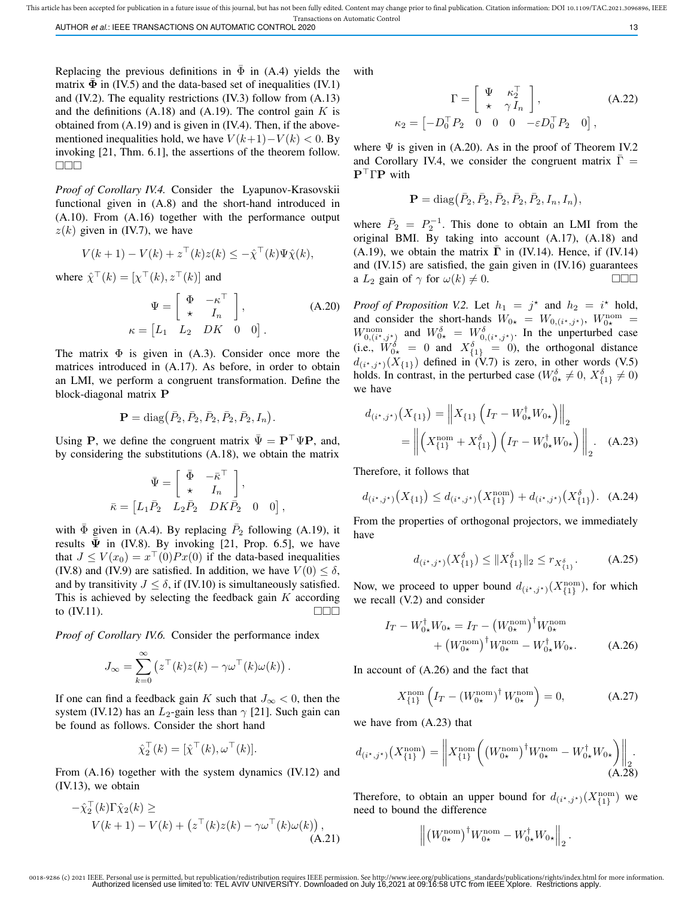This article has been accepted for publication in a future issue of this journal, but has not been fully edited. Content may change prior to final publication. Citation information: DOI 10.1109/TAC.2021.3096896, IEEE Transactions on Automatic Control

AUTHOR *et al*.: IEEE TRANSACTIONS ON AUTOMATIC CONTROL 2020 **13** 13

Replacing the previous definitions in  $\overline{\Phi}$  in (A.4) yields the matrix  $\overline{\Phi}$  in (IV.5) and the data-based set of inequalities (IV.1) and (IV.2). The equality restrictions (IV.3) follow from (A.13) and the definitions  $(A.18)$  and  $(A.19)$ . The control gain K is obtained from (A.19) and is given in (IV.4). Then, if the abovementioned inequalities hold, we have  $V(k+1)-V(k) < 0$ . By invoking [21, Thm. 6.1], the assertions of the theorem follow.  $\Box \Box \Box$ 

*Proof of Corollary IV.4.* Consider the Lyapunov-Krasovskii functional given in (A.8) and the short-hand introduced in (A.10). From (A.16) together with the performance output  $z(k)$  given in (IV.7), we have

$$
V(k+1) - V(k) + z^{\top}(k)z(k) \leq -\hat{\chi}^{\top}(k)\Psi\hat{\chi}(k),
$$

where  $\hat{\chi}^{\top}(k) = [\chi^{\top}(k), z^{\top}(k)]$  and

$$
\Psi = \begin{bmatrix} \Phi & -\kappa^{\top} \\ \star & I_n \end{bmatrix},
$$
\n
$$
\kappa = \begin{bmatrix} L_1 & L_2 & DK & 0 & 0 \end{bmatrix}.
$$
\n(A.20)

The matrix  $\Phi$  is given in (A.3). Consider once more the matrices introduced in (A.17). As before, in order to obtain an LMI, we perform a congruent transformation. Define the block-diagonal matrix P

$$
\mathbf{P} = \text{diag}(\bar{P}_2, \bar{P}_2, \bar{P}_2, \bar{P}_2, \bar{P}_2, I_n).
$$

Using P, we define the congruent matrix  $\bar{\Psi} = P^{\top} \Psi P$ , and, by considering the substitutions (A.18), we obtain the matrix

$$
\begin{aligned} \bar{\Psi} &= \left[ \begin{array}{ccc} \bar{\Phi} & -\bar{\kappa}^\top \\ \star & I_n \end{array} \right], \\ \bar{\kappa} &= \left[ L_1 \bar{P}_2 & L_2 \bar{P}_2 & DK \bar{P}_2 \quad 0 & 0 \right], \end{aligned}
$$

with  $\bar{\Phi}$  given in (A.4). By replacing  $\bar{P}_2$  following (A.19), it results  $\bar{\Psi}$  in (IV.8). By invoking [21, Prop. 6.5], we have that  $J \le V(x_0) = x^{\top}(0)Px(0)$  if the data-based inequalities (IV.8) and (IV.9) are satisfied. In addition, we have  $V(0) < \delta$ , and by transitivity  $J \leq \delta$ , if (IV.10) is simultaneously satisfied. This is achieved by selecting the feedback gain  $K$  according to  $(IV.11)$ .

*Proof of Corollary IV.6.* Consider the performance index

$$
J_{\infty} = \sum_{k=0}^{\infty} \left( z^{\top}(k)z(k) - \gamma \omega^{\top}(k) \omega(k) \right).
$$

If one can find a feedback gain K such that  $J_{\infty} < 0$ , then the system (IV.12) has an  $L_2$ -gain less than  $\gamma$  [21]. Such gain can be found as follows. Consider the short hand

$$
\hat{\chi}_2^{\top}(k) = [\hat{\chi}^{\top}(k), \omega^{\top}(k)].
$$

From (A.16) together with the system dynamics (IV.12) and (IV.13), we obtain

$$
-\hat{\chi}_2^{\top}(k)\Gamma\hat{\chi}_2(k) \ge
$$
  
 
$$
V(k+1) - V(k) + (z^{\top}(k)z(k) - \gamma\omega^{\top}(k)\omega(k)),
$$
  
(A.21)

with

$$
\Gamma = \begin{bmatrix} \Psi & \kappa_2^{\top} \\ \star & \gamma I_n \end{bmatrix},
$$
\n(A.22)\n
$$
\kappa_2 = \begin{bmatrix} -D_0^{\top} P_2 & 0 & 0 & 0 & -\varepsilon D_0^{\top} P_2 & 0 \end{bmatrix},
$$

where  $\Psi$  is given in (A.20). As in the proof of Theorem IV.2 and Corollary IV.4, we consider the congruent matrix  $\Gamma =$  ${\bf P}^\top\Gamma{\bf P}$  with

$$
\mathbf{P} = \text{diag}(\bar{P}_2, \bar{P}_2, \bar{P}_2, \bar{P}_2, \bar{P}_2, I_n, I_n),
$$

where  $\overline{P}_2 = P_2^{-1}$ . This done to obtain an LMI from the original BMI. By taking into account (A.17), (A.18) and (A.19), we obtain the matrix  $\Gamma$  in (IV.14). Hence, if (IV.14) and (IV.15) are satisfied, the gain given in (IV.16) guarantees a  $L_2$  gain of  $\gamma$  for  $\omega(k) \neq 0$ .

*Proof of Proposition V.2.* Let  $h_1 = j^*$  and  $h_2 = i^*$  hold, and consider the short-hands  $W_{0\star} = W_{0,(i^{\star},j^{\star})}, W_{0\star}^{\text{nom}} =$  $W_{0,(i^*,j^*)}^{\text{nom}}$  and  $W_{0*}^{\delta} = W_{0,(i^*,j^*)}^{\delta}$ . In the unperturbed case (i.e.,  $\hat{W}_{0\star}^{\delta} = 0$  and  $X_{\{1\}}^{\delta} = 0$ ), the orthogonal distance  $d_{(i^*,j^*)}(X_{\{1\}})$  defined in (V.7) is zero, in other words (V.5) holds. In contrast, in the perturbed case ( $W_{0\star}^{\delta} \neq 0$ ,  $X_{\{1\}}^{\delta} \neq 0$ ) we have

$$
d_{(i^*,j^*)}(X_{\{1\}}) = \left\| X_{\{1\}} \left( I_T - W_{0\star}^{\dagger} W_{0\star} \right) \right\|_2
$$
  
= 
$$
\left\| \left( X_{\{1\}}^{\text{nom}} + X_{\{1\}}^{\delta} \right) \left( I_T - W_{0\star}^{\dagger} W_{0\star} \right) \right\|_2.
$$
 (A.23)

Therefore, it follows that

$$
d_{(i^*,j^*)}(X_{\{1\}}) \le d_{(i^*,j^*)}(X_{\{1\}}^{\text{nom}}) + d_{(i^*,j^*)}(X_{\{1\}}^{\delta}). \quad \text{(A.24)}
$$

From the properties of orthogonal projectors, we immediately have

$$
d_{(i^*,j^*)}(X_{\{1\}}^{\delta}) \le ||X_{\{1\}}^{\delta}||_2 \le r_{X_{\{1\}}^{\delta}}.
$$
 (A.25)

Now, we proceed to upper bound  $d_{(i^*,j^*)}(X_{\{1\}}^{\text{nom}})$ , for which we recall (V.2) and consider

$$
I_T - W_{0\star}^{\dagger} W_{0\star} = I_T - \left(W_{0\star}^{\text{nom}}\right)^{\dagger} W_{0\star}^{\text{nom}}
$$
  
+ 
$$
\left(W_{0\star}^{\text{nom}}\right)^{\dagger} W_{0\star}^{\text{nom}} - W_{0\star}^{\dagger} W_{0\star}.
$$
 (A.26)

In account of (A.26) and the fact that

$$
X_{\{1\}}^{\text{nom}} \left( I_T - \left( W_{0\star}^{\text{nom}} \right)^{\dagger} W_{0\star}^{\text{nom}} \right) = 0, \tag{A.27}
$$

we have from (A.23) that

$$
d_{(i^*,j^*)}(X_{\{1\}}^{\text{nom}}) = \left\| X_{\{1\}}^{\text{nom}} \left( \left( W_{0\star}^{\text{nom}} \right)^{\dagger} W_{0\star}^{\text{nom}} - W_{0\star}^{\dagger} W_{0\star} \right) \right\|_2.
$$
\n(A.28)

Therefore, to obtain an upper bound for  $d_{(i^*,j^*)}(X_{\{1\}}^{\text{nom}})$  we need to bound the difference

$$
\left\| \left(W_{0\star}^{\rm nom}\right)^\dagger W_{0\star}^{\rm nom} - W_{0\star}^\dagger W_{0\star} \right\|_2.
$$

<sup>0018-9286 (</sup>c) 2021 IEEE. Personal use is permitted, but republication/redistribution requires IEEE permission. See http://www.ieee.org/publications\_standards/publications/rights/index.html for more information.<br>Authorized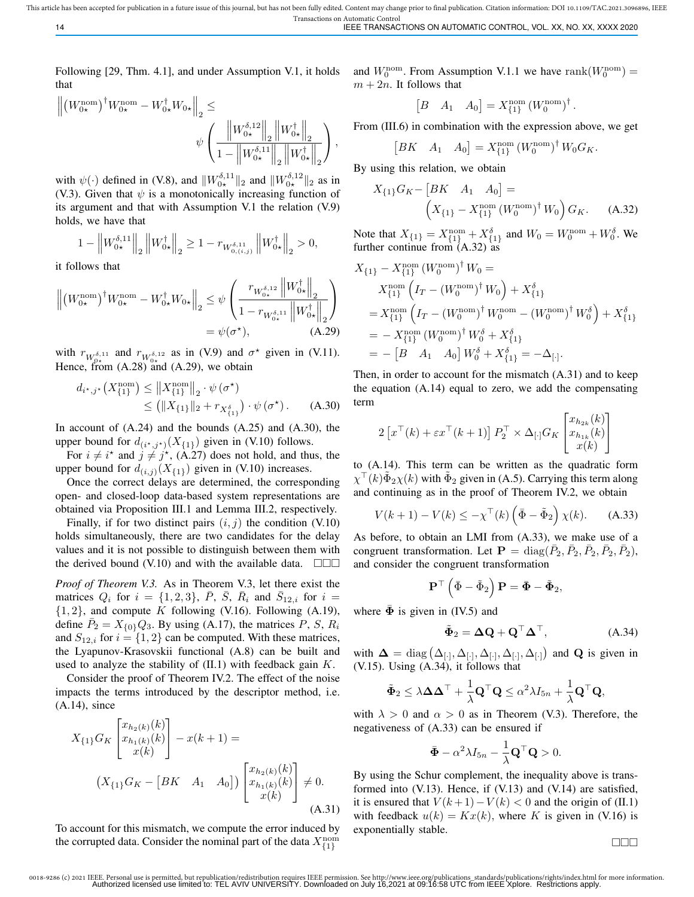14 IEEE TRANSACTIONS ON AUTOMATIC CONTROL, VOL. XX, NO. XX, XXXX 2020

Following [29, Thm. 4.1], and under Assumption V.1, it holds that

$$
\begin{aligned} \left\| \left( W_{0\star}^{\rm nom} \right)^\dagger & W_{0\star}^{\rm nom} - W_{0\star}^\dagger W_{0\star} \right\|_2 \leq \\ & \qquad \psi \left( \frac{ \left\| W_{0\star}^{\delta,12} \right\|_2 \left\| W_{0\star}^\dagger \right\|_2 }{ 1 - \left\| W_{0\star}^{\delta,11} \right\|_2 \left\| W_{0\star}^\dagger \right\|_2 } \right), \end{aligned}
$$

with  $\psi(\cdot)$  defined in (V.8), and  $||W_{0\star}^{\delta,11}||_2$  and  $||W_{0\star}^{\delta,12}||_2$  as in (V.3). Given that  $\psi$  is a monotonically increasing function of its argument and that with Assumption V.1 the relation (V.9) holds, we have that

$$
1 - \left\| W_{0\star}^{\delta,11} \right\|_2 \left\| W_{0\star}^\dagger \right\|_2 \ge 1 - r_{W_{0,(i,j)}^{\delta,11}} \left\| W_{0\star}^\dagger \right\|_2 > 0,
$$

it follows that

$$
\left\| \left( W_{0\star}^{\text{nom}} \right)^{\dagger} W_{0\star}^{\text{nom}} - W_{0\star}^{\dagger} W_{0\star} \right\|_2 \leq \psi \left( \frac{r_{W_{0\star}^{\delta,12}} \left\| W_{0\star}^{\dagger} \right\|_2}{1 - r_{W_{0\star}^{\delta,11}} \left\| W_{0\star}^{\dagger} \right\|_2} \right)
$$

$$
= \psi(\sigma^{\star}), \qquad \text{(A.29)}
$$

with  $r_{W_{0+}^{\delta,11}}$  and  $r_{W_{0+}^{\delta,12}}$  as in (V.9) and  $\sigma^*$  given in (V.11). Hence, from  $(A.28)$  and  $(A.29)$ , we obtain

$$
d_{i^*,j^*}(X_{\{1\}}^{\text{nom}}) \leq ||X_{\{1\}}^{\text{nom}}||_2 \cdot \psi(\sigma^*)
$$
  
 
$$
\leq (||X_{\{1\}}||_2 + r_{X_{\{1\}}^{\delta}}) \cdot \psi(\sigma^*) . \quad (A.30)
$$

In account of  $(A.24)$  and the bounds  $(A.25)$  and  $(A.30)$ , the upper bound for  $d_{(i^*,j^*)}(X_{\{1\}})$  given in (V.10) follows.

For  $i \neq i^*$  and  $j \neq j^*$ , (A.27) does not hold, and thus, the upper bound for  $d_{(i,j)}(X_{\{1\}})$  given in (V.10) increases.

Once the correct delays are determined, the corresponding open- and closed-loop data-based system representations are obtained via Proposition III.1 and Lemma III.2, respectively.

Finally, if for two distinct pairs  $(i, j)$  the condition (V.10) holds simultaneously, there are two candidates for the delay values and it is not possible to distinguish between them with the derived bound (V.10) and with the available data.  $\square\square\square$ 

*Proof of Theorem V.3.* As in Theorem V.3, let there exist the matrices  $Q_i$  for  $i = \{1, 2, 3\}$ ,  $\overline{P}$ ,  $\overline{S}$ ,  $\overline{R}_i$  and  $\overline{S}_{12,i}$  for  $i =$  $\{1, 2\}$ , and compute K following (V.16). Following (A.19), define  $\overline{P}_2 = X_{\{0\}} Q_3$ . By using (A.17), the matrices P, S,  $R_i$ and  $S_{12,i}$  for  $i = \{1,2\}$  can be computed. With these matrices, the Lyapunov-Krasovskii functional (A.8) can be built and used to analyze the stability of  $(II.1)$  with feedback gain  $K$ .

Consider the proof of Theorem IV.2. The effect of the noise impacts the terms introduced by the descriptor method, i.e. (A.14), since

$$
X_{\{1\}}G_K\begin{bmatrix} x_{h_2(k)}(k) \\ x_{h_1(k)}(k) \\ x(k) \end{bmatrix} - x(k+1) =
$$
  

$$
(X_{\{1\}}G_K - [BK \ A_1 \ A_0])\begin{bmatrix} x_{h_2(k)}(k) \\ x_{h_1(k)}(k) \\ x(k) \end{bmatrix} \neq 0.
$$
  
(A.31)

To account for this mismatch, we compute the error induced by the corrupted data. Consider the nominal part of the data  $X_{\{1\}}^{\text{nom}}$ 

and  $W_0^{\text{nom}}$ . From Assumption V.1.1 we have rank $(W_0^{\text{nom}})$  =  $m + 2n$ . It follows that

$$
\begin{bmatrix} B & A_1 & A_0 \end{bmatrix} = X_{\{1\}}^{\text{nom}} \left( W_0^{\text{nom}} \right)^{\dagger}.
$$

From (III.6) in combination with the expression above, we get

$$
\begin{bmatrix} BK & A_1 & A_0 \end{bmatrix} = X_{\{1\}}^{\text{nom}} \left( W_0^{\text{nom}} \right)^{\dagger} W_0 G_K.
$$

By using this relation, we obtain

$$
X_{\{1\}}G_K - [BK \quad A_1 \quad A_0] =
$$
  

$$
\left(X_{\{1\}} - X_{\{1\}}^{\text{nom}} (W_0^{\text{nom}})^{\dagger} W_0\right) G_K. \quad (A.32)
$$

Note that  $X_{\{1\}} = X_{\{1\}}^{\text{nom}} + X_{\{1\}}^{\delta}$  and  $W_0 = W_0^{\text{nom}} + W_0^{\delta}$ . We further continue from (A.32) as

$$
X_{\{1\}} - X_{\{1\}}^{\text{nom}} (W_0^{\text{nom}})^{\dagger} W_0 =
$$
  
\n
$$
X_{\{1\}}^{\text{nom}} \left( I_T - (W_0^{\text{nom}})^{\dagger} W_0 \right) + X_{\{1\}}^{\delta}
$$
  
\n
$$
= X_{\{1\}}^{\text{nom}} \left( I_T - (W_0^{\text{nom}})^{\dagger} W_0^{\text{nom}} - (W_0^{\text{nom}})^{\dagger} W_0^{\delta} \right) + X_{\{1\}}^{\delta}
$$
  
\n
$$
= - X_{\{1\}}^{\text{nom}} (W_0^{\text{nom}})^{\dagger} W_0^{\delta} + X_{\{1\}}^{\delta}
$$
  
\n
$$
= - [B \quad A_1 \quad A_0] W_0^{\delta} + X_{\{1\}}^{\delta} = -\Delta_{[\cdot]}.
$$

Then, in order to account for the mismatch (A.31) and to keep the equation (A.14) equal to zero, we add the compensating term

$$
2\left[x^{\top}(k) + \varepsilon x^{\top}(k+1)\right]P_2^{\top} \times \Delta_{[\cdot]}G_K\begin{bmatrix} x_{h_{2k}}(k) \\ x_{h_{1k}}(k) \\ x(k) \end{bmatrix}
$$

to (A.14). This term can be written as the quadratic form  $\chi^{\top}(k)\tilde{\Phi}_2\chi(k)$  with  $\tilde{\Phi}_2$  given in (A.5). Carrying this term along and continuing as in the proof of Theorem IV.2, we obtain

$$
V(k+1) - V(k) \le -\chi^{\top}(k) \left(\bar{\Phi} - \tilde{\Phi}_2\right) \chi(k). \quad (A.33)
$$

As before, to obtain an LMI from (A.33), we make use of a congruent transformation. Let  $\mathbf{P} = \text{diag}(\bar{P}_2, \bar{P}_2, \bar{P}_2, \bar{P}_2, \bar{P}_2)$ , and consider the congruent transformation

$$
\mathbf{P}^\top \left( \bar{\Phi} - \tilde{\Phi}_2 \right) \mathbf{P} = \bar{\pmb{\Phi}} - \tilde{\pmb{\Phi}}_2,
$$

where  $\overline{\Phi}$  is given in (IV.5) and

$$
\tilde{\Phi}_2 = \Delta \mathbf{Q} + \mathbf{Q}^\top \mathbf{\Delta}^\top,\tag{A.34}
$$

with  $\Delta = \text{diag}(\Delta_{[\cdot]}, \Delta_{[\cdot]}, \Delta_{[\cdot]}, \Delta_{[\cdot]}, \Delta_{[\cdot]})$  and Q is given in (V.15). Using (A.34), it follows that

$$
\tilde{\mathbf{\Phi}}_2 \leq \lambda \mathbf{\Delta} \mathbf{\Delta}^\top + \frac{1}{\lambda} \mathbf{Q}^\top \mathbf{Q} \leq \alpha^2 \lambda I_{5n} + \frac{1}{\lambda} \mathbf{Q}^\top \mathbf{Q},
$$

with  $\lambda > 0$  and  $\alpha > 0$  as in Theorem (V.3). Therefore, the negativeness of (A.33) can be ensured if

$$
\bar{\mathbf{\Phi}} - \alpha^2 \lambda I_{5n} - \frac{1}{\lambda} \mathbf{Q}^\top \mathbf{Q} > 0.
$$

By using the Schur complement, the inequality above is transformed into (V.13). Hence, if (V.13) and (V.14) are satisfied, it is ensured that  $V(k+1)-V(k) < 0$  and the origin of (II.1) with feedback  $u(k) = Kx(k)$ , where K is given in (V.16) is exponentially stable.

 $\Box\Box\Box$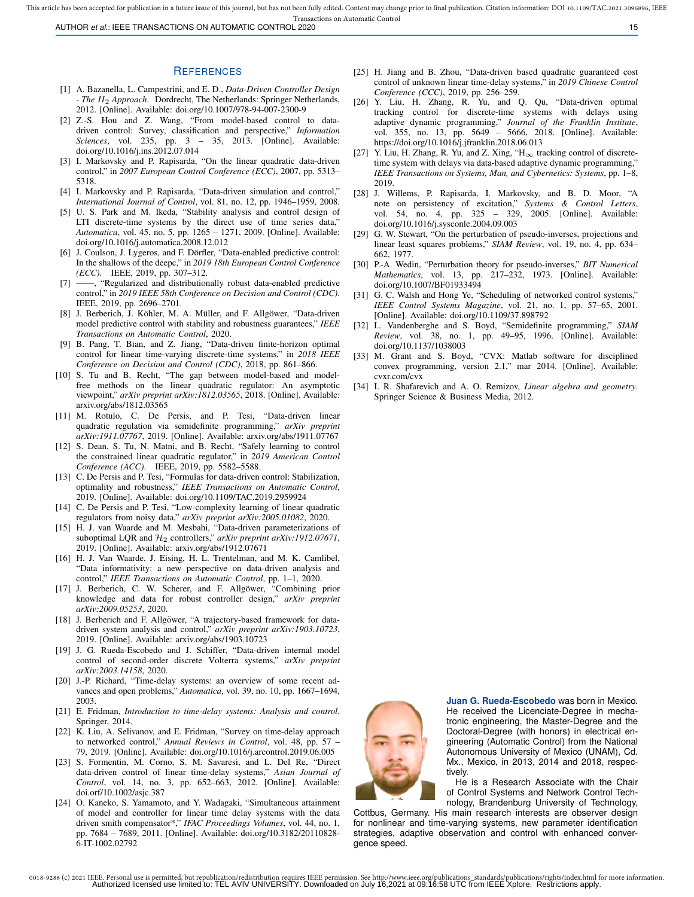Transactions on Automatic Control AUTHOR *et al.*: IEEE TRANSACTIONS ON AUTOMATIC CONTROL 2020 15

#### **REFERENCES**

- [1] A. Bazanella, L. Campestrini, and E. D., *Data-Driven Controller Design - The* H<sup>2</sup> *Approach*. Dordrecht, The Netherlands: Springer Netherlands, 2012. [Online]. Available: doi.org/10.1007/978-94-007-2300-9
- [2] Z.-S. Hou and Z. Wang, "From model-based control to datadriven control: Survey, classification and perspective," *Information Sciences*, vol. 235, pp. 3 – 35, 2013. [Online]. Available: doi.org/10.1016/j.ins.2012.07.014
- [3] I. Markovsky and P. Rapisarda, "On the linear quadratic data-driven control," in *2007 European Control Conference (ECC)*, 2007, pp. 5313– 5318.
- [4] I. Markovsky and P. Rapisarda, "Data-driven simulation and control," *International Journal of Control*, vol. 81, no. 12, pp. 1946–1959, 2008.
- [5] U. S. Park and M. Ikeda, "Stability analysis and control design of LTI discrete-time systems by the direct use of time series data," *Automatica*, vol. 45, no. 5, pp. 1265 – 1271, 2009. [Online]. Available: doi.org/10.1016/j.automatica.2008.12.012
- [6] J. Coulson, J. Lygeros, and F. Dörfler, "Data-enabled predictive control: In the shallows of the deepc," in *2019 18th European Control Conference (ECC)*. IEEE, 2019, pp. 307–312.
- [7] ——, "Regularized and distributionally robust data-enabled predictive control," in *2019 IEEE 58th Conference on Decision and Control (CDC)*. IEEE, 2019, pp. 2696–2701.
- [8] J. Berberich, J. Köhler, M. A. Müller, and F. Allgöwer, "Data-driven model predictive control with stability and robustness guarantees," *IEEE Transactions on Automatic Control*, 2020.
- [9] B. Pang, T. Bian, and Z. Jiang, "Data-driven finite-horizon optimal control for linear time-varying discrete-time systems," in *2018 IEEE Conference on Decision and Control (CDC)*, 2018, pp. 861–866.
- [10] S. Tu and B. Recht, "The gap between model-based and modelfree methods on the linear quadratic regulator: An asymptotic viewpoint," *arXiv preprint arXiv:1812.03565*, 2018. [Online]. Available: arxiv.org/abs/1812.03565
- [11] M. Rotulo, C. De Persis, and P. Tesi, "Data-driven linear quadratic regulation via semidefinite programming," *arXiv preprint arXiv:1911.07767*, 2019. [Online]. Available: arxiv.org/abs/1911.07767
- [12] S. Dean, S. Tu, N. Matni, and B. Recht, "Safely learning to control the constrained linear quadratic regulator," in *2019 American Control Conference (ACC)*. IEEE, 2019, pp. 5582–5588.
- [13] C. De Persis and P. Tesi, "Formulas for data-driven control: Stabilization, optimality and robustness," *IEEE Transactions on Automatic Control*, 2019. [Online]. Available: doi.org/10.1109/TAC.2019.2959924
- [14] C. De Persis and P. Tesi, "Low-complexity learning of linear quadratic regulators from noisy data," *arXiv preprint arXiv:2005.01082*, 2020.
- [15] H. J. van Waarde and M. Mesbahi, "Data-driven parameterizations of suboptimal LQR and  $H_2$  controllers," *arXiv preprint arXiv:1912.07671*, 2019. [Online]. Available: arxiv.org/abs/1912.07671
- [16] H. J. Van Waarde, J. Eising, H. L. Trentelman, and M. K. Camlibel, "Data informativity: a new perspective on data-driven analysis and control," *IEEE Transactions on Automatic Control*, pp. 1–1, 2020.
- [17] J. Berberich, C. W. Scherer, and F. Allgöwer, "Combining prior knowledge and data for robust controller design," *arXiv preprint arXiv:2009.05253*, 2020.
- [18] J. Berberich and F. Allgöwer, "A trajectory-based framework for datadriven system analysis and control," *arXiv preprint arXiv:1903.10723*, 2019. [Online]. Available: arxiv.org/abs/1903.10723
- [19] J. G. Rueda-Escobedo and J. Schiffer, "Data-driven internal model control of second-order discrete Volterra systems," *arXiv preprint arXiv:2003.14158*, 2020.
- [20] J.-P. Richard, "Time-delay systems: an overview of some recent advances and open problems," *Automatica*, vol. 39, no. 10, pp. 1667–1694, 2003.
- [21] E. Fridman, *Introduction to time-delay systems: Analysis and control*. Springer, 2014.
- [22] K. Liu, A. Selivanov, and E. Fridman, "Survey on time-delay approach to networked control," *Annual Reviews in Control*, vol. 48, pp. 57 – 79, 2019. [Online]. Available: doi.org/10.1016/j.arcontrol.2019.06.005
- [23] S. Formentin, M. Corno, S. M. Savaresi, and L. Del Re, "Direct data-driven control of linear time-delay systems," *Asian Journal of Control*, vol. 14, no. 3, pp. 652–663, 2012. [Online]. Available: doi.orf/10.1002/asjc.387
- [24] O. Kaneko, S. Yamamoto, and Y. Wadagaki, "Simultaneous attainment of model and controller for linear time delay systems with the data driven smith compensator\*," *IFAC Proceedings Volumes*, vol. 44, no. 1, pp. 7684 – 7689, 2011. [Online]. Available: doi.org/10.3182/20110828- 6-IT-1002.02792
- [25] H. Jiang and B. Zhou, "Data-driven based quadratic guaranteed cost control of unknown linear time-delay systems," in *2019 Chinese Control Conference (CCC)*, 2019, pp. 256–259.
- [26] Y. Liu, H. Zhang, R. Yu, and Q. Qu, "Data-driven optimal tracking control for discrete-time systems with delays using adaptive dynamic programming," *Journal of the Franklin Institute*, vol. 355, no. 13, pp. 5649 – 5666, 2018. [Online]. Available: https://doi.org/10.1016/j.jfranklin.2018.06.013
- [27] Y. Liu, H. Zhang, R. Yu, and Z. Xing, "H<sub>∞</sub> tracking control of discretetime system with delays via data-based adaptive dynamic programming," *IEEE Transactions on Systems, Man, and Cybernetics: Systems*, pp. 1–8, 2019.
- [28] J. Willems, P. Rapisarda, I. Markovsky, and B. D. Moor, "A note on persistency of excitation," *Systems & Control Letters*, vol. 54, no. 4, pp. 325 – 329, 2005. [Online]. Available: doi.org/10.1016/j.sysconle.2004.09.003
- [29] G. W. Stewart, "On the perturbation of pseudo-inverses, projections and linear least squares problems," *SIAM Review*, vol. 19, no. 4, pp. 634– 662, 1977.
- [30] P.-A. Wedin, "Perturbation theory for pseudo-inverses," *BIT Numerical Mathematics*, vol. 13, pp. 217–232, 1973. [Online]. Available: doi.org/10.1007/BF01933494
- [31] G. C. Walsh and Hong Ye, "Scheduling of networked control systems," *IEEE Control Systems Magazine*, vol. 21, no. 1, pp. 57–65, 2001. [Online]. Available: doi.org/10.1109/37.898792
- [32] L. Vandenberghe and S. Boyd, "Semidefinite programming," *SIAM Review*, vol. 38, no. 1, pp. 49–95, 1996. [Online]. Available: doi.org/10.1137/1038003
- [33] M. Grant and S. Boyd, "CVX: Matlab software for disciplined convex programming, version 2.1," mar 2014. [Online]. Available: cvxr.com/cvx
- [34] I. R. Shafarevich and A. O. Remizov, *Linear algebra and geometry*. Springer Science & Business Media, 2012.



**Juan G. Rueda-Escobedo** was born in Mexico. He received the Licenciate-Degree in mechatronic engineering, the Master-Degree and the Doctoral-Degree (with honors) in electrical engineering (Automatic Control) from the National Autonomous University of Mexico (UNAM), Cd. Mx., Mexico, in 2013, 2014 and 2018, respectively.

He is a Research Associate with the Chair of Control Systems and Network Control Technology, Brandenburg University of Technology,

Cottbus, Germany. His main research interests are observer design for nonlinear and time-varying systems, new parameter identification strategies, adaptive observation and control with enhanced convergence speed.